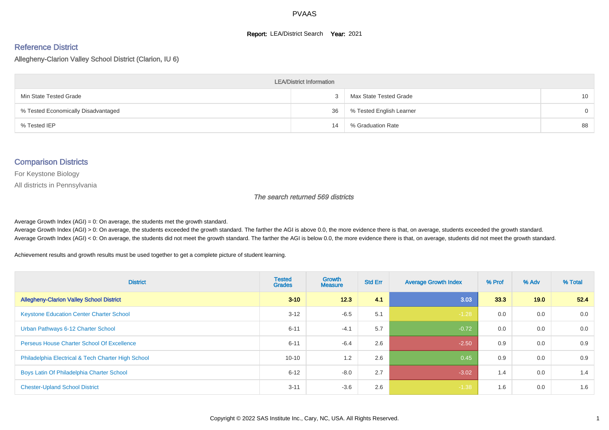#### **Report: LEA/District Search Year: 2021**

#### Reference District

Allegheny-Clarion Valley School District (Clarion, IU 6)

| <b>LEA/District Information</b>     |    |                          |                 |  |  |  |  |  |  |  |
|-------------------------------------|----|--------------------------|-----------------|--|--|--|--|--|--|--|
| Min State Tested Grade              |    | Max State Tested Grade   | 10 <sup>°</sup> |  |  |  |  |  |  |  |
| % Tested Economically Disadvantaged | 36 | % Tested English Learner | $\Omega$        |  |  |  |  |  |  |  |
| % Tested IEP                        | 14 | % Graduation Rate        | 88              |  |  |  |  |  |  |  |

#### Comparison Districts

For Keystone Biology

All districts in Pennsylvania

The search returned 569 districts

Average Growth Index  $(AGI) = 0$ : On average, the students met the growth standard.

Average Growth Index (AGI) > 0: On average, the students exceeded the growth standard. The farther the AGI is above 0.0, the more evidence there is that, on average, students exceeded the growth standard. Average Growth Index (AGI) < 0: On average, the students did not meet the growth standard. The farther the AGI is below 0.0, the more evidence there is that, on average, students did not meet the growth standard.

Achievement results and growth results must be used together to get a complete picture of student learning.

| <b>District</b>                                    | <b>Tested</b><br><b>Grades</b> | <b>Growth</b><br><b>Measure</b> | <b>Std Err</b> | <b>Average Growth Index</b> | % Prof | % Adv | % Total |
|----------------------------------------------------|--------------------------------|---------------------------------|----------------|-----------------------------|--------|-------|---------|
| <b>Allegheny-Clarion Valley School District</b>    | $3 - 10$                       | 12.3                            | 4.1            | 3.03                        | 33.3   | 19.0  | 52.4    |
| <b>Keystone Education Center Charter School</b>    | $3 - 12$                       | $-6.5$                          | 5.1            | $-1.28$                     | 0.0    | 0.0   | 0.0     |
| Urban Pathways 6-12 Charter School                 | $6 - 11$                       | $-4.1$                          | 5.7            | $-0.72$                     | 0.0    | 0.0   | 0.0     |
| <b>Perseus House Charter School Of Excellence</b>  | $6 - 11$                       | $-6.4$                          | 2.6            | $-2.50$                     | 0.9    | 0.0   | 0.9     |
| Philadelphia Electrical & Tech Charter High School | $10 - 10$                      | 1.2                             | 2.6            | 0.45                        | 0.9    | 0.0   | 0.9     |
| Boys Latin Of Philadelphia Charter School          | $6 - 12$                       | $-8.0$                          | 2.7            | $-3.02$                     | 1.4    | 0.0   | 1.4     |
| <b>Chester-Upland School District</b>              | $3 - 11$                       | $-3.6$                          | 2.6            | $-1.38$                     | 1.6    | 0.0   | 1.6     |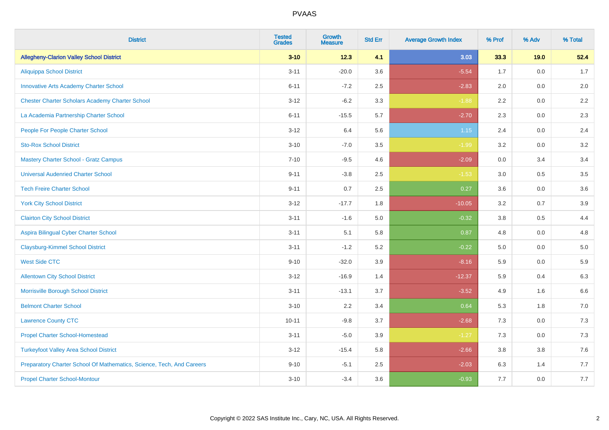| <b>District</b>                                                       | <b>Tested</b><br><b>Grades</b> | <b>Growth</b><br><b>Measure</b> | <b>Std Err</b> | <b>Average Growth Index</b> | % Prof | % Adv   | % Total |
|-----------------------------------------------------------------------|--------------------------------|---------------------------------|----------------|-----------------------------|--------|---------|---------|
| <b>Allegheny-Clarion Valley School District</b>                       | $3 - 10$                       | 12.3                            | 4.1            | 3.03                        | 33.3   | 19.0    | 52.4    |
| <b>Aliquippa School District</b>                                      | $3 - 11$                       | $-20.0$                         | 3.6            | $-5.54$                     | 1.7    | 0.0     | 1.7     |
| <b>Innovative Arts Academy Charter School</b>                         | $6 - 11$                       | $-7.2$                          | 2.5            | $-2.83$                     | 2.0    | 0.0     | 2.0     |
| <b>Chester Charter Scholars Academy Charter School</b>                | $3 - 12$                       | $-6.2$                          | 3.3            | $-1.88$                     | 2.2    | 0.0     | 2.2     |
| La Academia Partnership Charter School                                | $6 - 11$                       | $-15.5$                         | 5.7            | $-2.70$                     | 2.3    | 0.0     | 2.3     |
| People For People Charter School                                      | $3 - 12$                       | 6.4                             | 5.6            | 1.15                        | 2.4    | 0.0     | 2.4     |
| <b>Sto-Rox School District</b>                                        | $3 - 10$                       | $-7.0$                          | 3.5            | $-1.99$                     | 3.2    | 0.0     | 3.2     |
| <b>Mastery Charter School - Gratz Campus</b>                          | $7 - 10$                       | $-9.5$                          | 4.6            | $-2.09$                     | 0.0    | 3.4     | 3.4     |
| <b>Universal Audenried Charter School</b>                             | $9 - 11$                       | $-3.8$                          | 2.5            | $-1.53$                     | 3.0    | 0.5     | 3.5     |
| <b>Tech Freire Charter School</b>                                     | $9 - 11$                       | 0.7                             | 2.5            | 0.27                        | 3.6    | 0.0     | 3.6     |
| <b>York City School District</b>                                      | $3 - 12$                       | $-17.7$                         | 1.8            | $-10.05$                    | 3.2    | 0.7     | 3.9     |
| <b>Clairton City School District</b>                                  | $3 - 11$                       | $-1.6$                          | 5.0            | $-0.32$                     | 3.8    | 0.5     | 4.4     |
| Aspira Bilingual Cyber Charter School                                 | $3 - 11$                       | 5.1                             | 5.8            | 0.87                        | 4.8    | 0.0     | 4.8     |
| <b>Claysburg-Kimmel School District</b>                               | $3 - 11$                       | $-1.2$                          | 5.2            | $-0.22$                     | 5.0    | 0.0     | 5.0     |
| <b>West Side CTC</b>                                                  | $9 - 10$                       | $-32.0$                         | 3.9            | $-8.16$                     | 5.9    | 0.0     | 5.9     |
| <b>Allentown City School District</b>                                 | $3 - 12$                       | $-16.9$                         | 1.4            | $-12.37$                    | 5.9    | 0.4     | 6.3     |
| Morrisville Borough School District                                   | $3 - 11$                       | $-13.1$                         | 3.7            | $-3.52$                     | 4.9    | 1.6     | 6.6     |
| <b>Belmont Charter School</b>                                         | $3 - 10$                       | 2.2                             | 3.4            | 0.64                        | 5.3    | 1.8     | $7.0\,$ |
| <b>Lawrence County CTC</b>                                            | $10 - 11$                      | $-9.8$                          | 3.7            | $-2.68$                     | 7.3    | 0.0     | 7.3     |
| <b>Propel Charter School-Homestead</b>                                | $3 - 11$                       | $-5.0$                          | 3.9            | $-1.27$                     | 7.3    | 0.0     | $7.3$   |
| <b>Turkeyfoot Valley Area School District</b>                         | $3 - 12$                       | $-15.4$                         | 5.8            | $-2.66$                     | 3.8    | $3.8\,$ | 7.6     |
| Preparatory Charter School Of Mathematics, Science, Tech, And Careers | $9 - 10$                       | $-5.1$                          | 2.5            | $-2.03$                     | 6.3    | 1.4     | 7.7     |
| <b>Propel Charter School-Montour</b>                                  | $3 - 10$                       | $-3.4$                          | 3.6            | $-0.93$                     | 7.7    | 0.0     | 7.7     |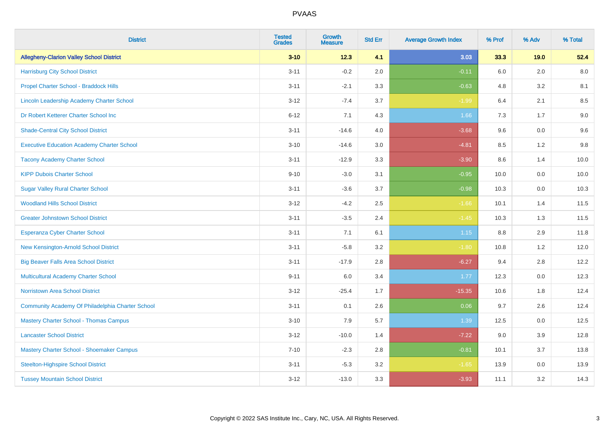| <b>District</b>                                   | <b>Tested</b><br><b>Grades</b> | <b>Growth</b><br><b>Measure</b> | <b>Std Err</b> | <b>Average Growth Index</b> | % Prof  | % Adv | % Total |
|---------------------------------------------------|--------------------------------|---------------------------------|----------------|-----------------------------|---------|-------|---------|
| <b>Allegheny-Clarion Valley School District</b>   | $3 - 10$                       | 12.3                            | 4.1            | 3.03                        | 33.3    | 19.0  | 52.4    |
| <b>Harrisburg City School District</b>            | $3 - 11$                       | $-0.2$                          | 2.0            | $-0.11$                     | 6.0     | 2.0   | 8.0     |
| Propel Charter School - Braddock Hills            | $3 - 11$                       | $-2.1$                          | 3.3            | $-0.63$                     | 4.8     | 3.2   | 8.1     |
| Lincoln Leadership Academy Charter School         | $3 - 12$                       | $-7.4$                          | 3.7            | $-1.99$                     | 6.4     | 2.1   | 8.5     |
| Dr Robert Ketterer Charter School Inc             | $6 - 12$                       | 7.1                             | 4.3            | 1.66                        | 7.3     | 1.7   | $9.0\,$ |
| <b>Shade-Central City School District</b>         | $3 - 11$                       | $-14.6$                         | 4.0            | $-3.68$                     | 9.6     | 0.0   | 9.6     |
| <b>Executive Education Academy Charter School</b> | $3 - 10$                       | $-14.6$                         | 3.0            | $-4.81$                     | 8.5     | 1.2   | 9.8     |
| <b>Tacony Academy Charter School</b>              | $3 - 11$                       | $-12.9$                         | 3.3            | $-3.90$                     | 8.6     | 1.4   | 10.0    |
| <b>KIPP Dubois Charter School</b>                 | $9 - 10$                       | $-3.0$                          | 3.1            | $-0.95$                     | 10.0    | 0.0   | 10.0    |
| <b>Sugar Valley Rural Charter School</b>          | $3 - 11$                       | $-3.6$                          | 3.7            | $-0.98$                     | 10.3    | 0.0   | 10.3    |
| <b>Woodland Hills School District</b>             | $3 - 12$                       | $-4.2$                          | 2.5            | $-1.66$                     | 10.1    | 1.4   | 11.5    |
| <b>Greater Johnstown School District</b>          | $3 - 11$                       | $-3.5$                          | 2.4            | $-1.45$                     | 10.3    | 1.3   | 11.5    |
| Esperanza Cyber Charter School                    | $3 - 11$                       | 7.1                             | 6.1            | 1.15                        | $8.8\,$ | 2.9   | 11.8    |
| New Kensington-Arnold School District             | $3 - 11$                       | $-5.8$                          | 3.2            | $-1.80$                     | 10.8    | 1.2   | 12.0    |
| <b>Big Beaver Falls Area School District</b>      | $3 - 11$                       | $-17.9$                         | 2.8            | $-6.27$                     | 9.4     | 2.8   | 12.2    |
| <b>Multicultural Academy Charter School</b>       | $9 - 11$                       | 6.0                             | 3.4            | 1.77                        | 12.3    | 0.0   | 12.3    |
| <b>Norristown Area School District</b>            | $3 - 12$                       | $-25.4$                         | 1.7            | $-15.35$                    | 10.6    | 1.8   | 12.4    |
| Community Academy Of Philadelphia Charter School  | $3 - 11$                       | 0.1                             | 2.6            | 0.06                        | 9.7     | 2.6   | 12.4    |
| <b>Mastery Charter School - Thomas Campus</b>     | $3 - 10$                       | 7.9                             | 5.7            | 1.39                        | 12.5    | 0.0   | 12.5    |
| <b>Lancaster School District</b>                  | $3 - 12$                       | $-10.0$                         | 1.4            | $-7.22$                     | 9.0     | 3.9   | 12.8    |
| Mastery Charter School - Shoemaker Campus         | $7 - 10$                       | $-2.3$                          | 2.8            | $-0.81$                     | 10.1    | 3.7   | 13.8    |
| <b>Steelton-Highspire School District</b>         | $3 - 11$                       | $-5.3$                          | 3.2            | $-1.65$                     | 13.9    | 0.0   | 13.9    |
| <b>Tussey Mountain School District</b>            | $3 - 12$                       | $-13.0$                         | 3.3            | $-3.93$                     | 11.1    | 3.2   | 14.3    |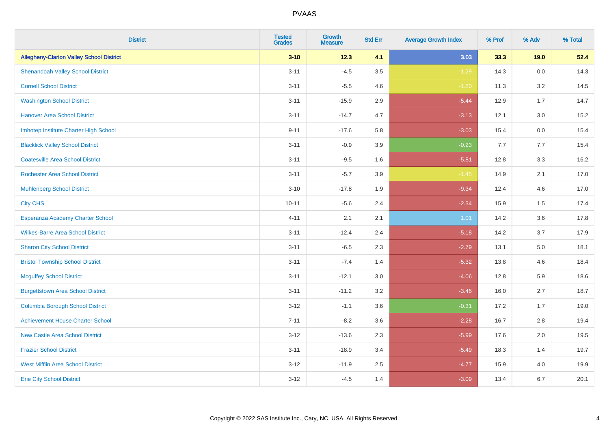| <b>District</b>                                 | <b>Tested</b><br><b>Grades</b> | <b>Growth</b><br><b>Measure</b> | <b>Std Err</b> | <b>Average Growth Index</b> | % Prof | % Adv   | % Total |
|-------------------------------------------------|--------------------------------|---------------------------------|----------------|-----------------------------|--------|---------|---------|
| <b>Allegheny-Clarion Valley School District</b> | $3 - 10$                       | 12.3                            | 4.1            | 3.03                        | 33.3   | 19.0    | 52.4    |
| <b>Shenandoah Valley School District</b>        | $3 - 11$                       | $-4.5$                          | 3.5            | $-1.29$                     | 14.3   | $0.0\,$ | 14.3    |
| <b>Cornell School District</b>                  | $3 - 11$                       | $-5.5$                          | 4.6            | $-1.20$                     | 11.3   | 3.2     | 14.5    |
| <b>Washington School District</b>               | $3 - 11$                       | $-15.9$                         | 2.9            | $-5.44$                     | 12.9   | 1.7     | 14.7    |
| <b>Hanover Area School District</b>             | $3 - 11$                       | $-14.7$                         | 4.7            | $-3.13$                     | 12.1   | 3.0     | 15.2    |
| Imhotep Institute Charter High School           | $9 - 11$                       | $-17.6$                         | 5.8            | $-3.03$                     | 15.4   | 0.0     | 15.4    |
| <b>Blacklick Valley School District</b>         | $3 - 11$                       | $-0.9$                          | 3.9            | $-0.23$                     | 7.7    | 7.7     | 15.4    |
| <b>Coatesville Area School District</b>         | $3 - 11$                       | $-9.5$                          | 1.6            | $-5.81$                     | 12.8   | 3.3     | 16.2    |
| <b>Rochester Area School District</b>           | $3 - 11$                       | $-5.7$                          | 3.9            | $-1.45$                     | 14.9   | 2.1     | 17.0    |
| <b>Muhlenberg School District</b>               | $3 - 10$                       | $-17.8$                         | 1.9            | $-9.34$                     | 12.4   | 4.6     | 17.0    |
| <b>City CHS</b>                                 | $10 - 11$                      | $-5.6$                          | 2.4            | $-2.34$                     | 15.9   | 1.5     | 17.4    |
| Esperanza Academy Charter School                | $4 - 11$                       | 2.1                             | 2.1            | 1.01                        | 14.2   | 3.6     | 17.8    |
| <b>Wilkes-Barre Area School District</b>        | $3 - 11$                       | $-12.4$                         | 2.4            | $-5.18$                     | 14.2   | 3.7     | 17.9    |
| <b>Sharon City School District</b>              | $3 - 11$                       | $-6.5$                          | 2.3            | $-2.79$                     | 13.1   | 5.0     | 18.1    |
| <b>Bristol Township School District</b>         | $3 - 11$                       | $-7.4$                          | 1.4            | $-5.32$                     | 13.8   | 4.6     | 18.4    |
| <b>Mcguffey School District</b>                 | $3 - 11$                       | $-12.1$                         | 3.0            | $-4.06$                     | 12.8   | 5.9     | 18.6    |
| <b>Burgettstown Area School District</b>        | $3 - 11$                       | $-11.2$                         | 3.2            | $-3.46$                     | 16.0   | 2.7     | 18.7    |
| <b>Columbia Borough School District</b>         | $3 - 12$                       | $-1.1$                          | 3.6            | $-0.31$                     | 17.2   | 1.7     | 19.0    |
| <b>Achievement House Charter School</b>         | $7 - 11$                       | $-8.2$                          | 3.6            | $-2.28$                     | 16.7   | 2.8     | 19.4    |
| <b>New Castle Area School District</b>          | $3 - 12$                       | $-13.6$                         | 2.3            | $-5.99$                     | 17.6   | 2.0     | 19.5    |
| <b>Frazier School District</b>                  | $3 - 11$                       | $-18.9$                         | 3.4            | $-5.49$                     | 18.3   | 1.4     | 19.7    |
| <b>West Mifflin Area School District</b>        | $3 - 12$                       | $-11.9$                         | 2.5            | $-4.77$                     | 15.9   | 4.0     | 19.9    |
| <b>Erie City School District</b>                | $3 - 12$                       | $-4.5$                          | 1.4            | $-3.09$                     | 13.4   | 6.7     | 20.1    |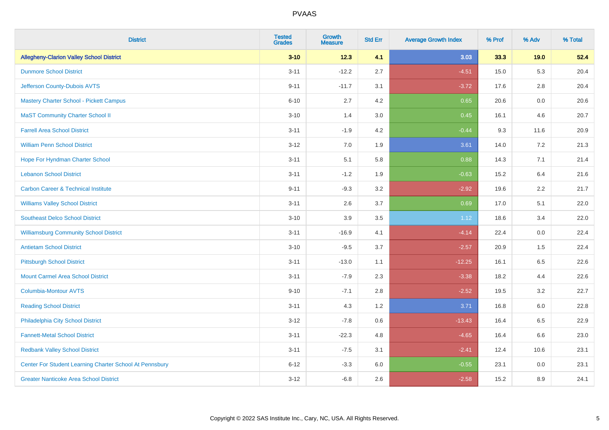| <b>District</b>                                         | <b>Tested</b><br><b>Grades</b> | <b>Growth</b><br><b>Measure</b> | <b>Std Err</b> | <b>Average Growth Index</b> | % Prof | % Adv   | % Total |
|---------------------------------------------------------|--------------------------------|---------------------------------|----------------|-----------------------------|--------|---------|---------|
| <b>Allegheny-Clarion Valley School District</b>         | $3 - 10$                       | 12.3                            | 4.1            | 3.03                        | 33.3   | 19.0    | 52.4    |
| <b>Dunmore School District</b>                          | $3 - 11$                       | $-12.2$                         | 2.7            | $-4.51$                     | 15.0   | 5.3     | 20.4    |
| Jefferson County-Dubois AVTS                            | $9 - 11$                       | $-11.7$                         | 3.1            | $-3.72$                     | 17.6   | 2.8     | 20.4    |
| Mastery Charter School - Pickett Campus                 | $6 - 10$                       | 2.7                             | 4.2            | 0.65                        | 20.6   | $0.0\,$ | 20.6    |
| <b>MaST Community Charter School II</b>                 | $3 - 10$                       | 1.4                             | 3.0            | 0.45                        | 16.1   | 4.6     | 20.7    |
| <b>Farrell Area School District</b>                     | $3 - 11$                       | $-1.9$                          | 4.2            | $-0.44$                     | 9.3    | 11.6    | 20.9    |
| <b>William Penn School District</b>                     | $3 - 12$                       | 7.0                             | 1.9            | 3.61                        | 14.0   | 7.2     | 21.3    |
| Hope For Hyndman Charter School                         | $3 - 11$                       | 5.1                             | 5.8            | 0.88                        | 14.3   | 7.1     | 21.4    |
| <b>Lebanon School District</b>                          | $3 - 11$                       | $-1.2$                          | 1.9            | $-0.63$                     | 15.2   | 6.4     | 21.6    |
| <b>Carbon Career &amp; Technical Institute</b>          | $9 - 11$                       | $-9.3$                          | 3.2            | $-2.92$                     | 19.6   | 2.2     | 21.7    |
| <b>Williams Valley School District</b>                  | $3 - 11$                       | 2.6                             | 3.7            | 0.69                        | 17.0   | 5.1     | 22.0    |
| <b>Southeast Delco School District</b>                  | $3 - 10$                       | 3.9                             | 3.5            | 1.12                        | 18.6   | 3.4     | 22.0    |
| <b>Williamsburg Community School District</b>           | $3 - 11$                       | $-16.9$                         | 4.1            | $-4.14$                     | 22.4   | 0.0     | 22.4    |
| <b>Antietam School District</b>                         | $3 - 10$                       | $-9.5$                          | 3.7            | $-2.57$                     | 20.9   | 1.5     | 22.4    |
| <b>Pittsburgh School District</b>                       | $3 - 11$                       | $-13.0$                         | 1.1            | $-12.25$                    | 16.1   | 6.5     | 22.6    |
| <b>Mount Carmel Area School District</b>                | $3 - 11$                       | $-7.9$                          | 2.3            | $-3.38$                     | 18.2   | 4.4     | 22.6    |
| <b>Columbia-Montour AVTS</b>                            | $9 - 10$                       | $-7.1$                          | 2.8            | $-2.52$                     | 19.5   | $3.2\,$ | 22.7    |
| <b>Reading School District</b>                          | $3 - 11$                       | 4.3                             | 1.2            | 3.71                        | 16.8   | 6.0     | 22.8    |
| Philadelphia City School District                       | $3 - 12$                       | $-7.8$                          | 0.6            | $-13.43$                    | 16.4   | 6.5     | 22.9    |
| <b>Fannett-Metal School District</b>                    | $3 - 11$                       | $-22.3$                         | 4.8            | $-4.65$                     | 16.4   | 6.6     | 23.0    |
| <b>Redbank Valley School District</b>                   | $3 - 11$                       | $-7.5$                          | 3.1            | $-2.41$                     | 12.4   | 10.6    | 23.1    |
| Center For Student Learning Charter School At Pennsbury | $6 - 12$                       | $-3.3$                          | 6.0            | $-0.55$                     | 23.1   | 0.0     | 23.1    |
| <b>Greater Nanticoke Area School District</b>           | $3 - 12$                       | $-6.8$                          | 2.6            | $-2.58$                     | 15.2   | 8.9     | 24.1    |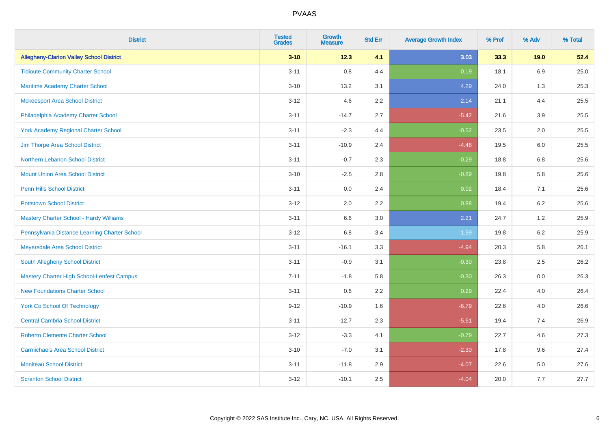| <b>District</b>                                   | <b>Tested</b><br><b>Grades</b> | <b>Growth</b><br><b>Measure</b> | <b>Std Err</b> | <b>Average Growth Index</b> | % Prof | % Adv   | % Total |
|---------------------------------------------------|--------------------------------|---------------------------------|----------------|-----------------------------|--------|---------|---------|
| <b>Allegheny-Clarion Valley School District</b>   | $3 - 10$                       | 12.3                            | 4.1            | 3.03                        | 33.3   | 19.0    | 52.4    |
| <b>Tidioute Community Charter School</b>          | $3 - 11$                       | $0.8\,$                         | 4.4            | 0.19                        | 18.1   | 6.9     | 25.0    |
| Maritime Academy Charter School                   | $3 - 10$                       | 13.2                            | 3.1            | 4.29                        | 24.0   | 1.3     | 25.3    |
| <b>Mckeesport Area School District</b>            | $3 - 12$                       | 4.6                             | 2.2            | 2.14                        | 21.1   | 4.4     | 25.5    |
| Philadelphia Academy Charter School               | $3 - 11$                       | $-14.7$                         | 2.7            | $-5.42$                     | 21.6   | 3.9     | 25.5    |
| <b>York Academy Regional Charter School</b>       | $3 - 11$                       | $-2.3$                          | 4.4            | $-0.52$                     | 23.5   | 2.0     | 25.5    |
| Jim Thorpe Area School District                   | $3 - 11$                       | $-10.9$                         | 2.4            | $-4.48$                     | 19.5   | 6.0     | 25.5    |
| Northern Lebanon School District                  | $3 - 11$                       | $-0.7$                          | 2.3            | $-0.29$                     | 18.8   | 6.8     | 25.6    |
| <b>Mount Union Area School District</b>           | $3 - 10$                       | $-2.5$                          | 2.8            | $-0.89$                     | 19.8   | 5.8     | 25.6    |
| Penn Hills School District                        | $3 - 11$                       | 0.0                             | 2.4            | 0.02                        | 18.4   | 7.1     | 25.6    |
| <b>Pottstown School District</b>                  | $3 - 12$                       | 2.0                             | 2.2            | 0.88                        | 19.4   | 6.2     | 25.6    |
| <b>Mastery Charter School - Hardy Williams</b>    | $3 - 11$                       | 6.6                             | 3.0            | 2.21                        | 24.7   | 1.2     | 25.9    |
| Pennsylvania Distance Learning Charter School     | $3 - 12$                       | $6.8\,$                         | 3.4            | 1.99                        | 19.8   | $6.2\,$ | 25.9    |
| Meyersdale Area School District                   | $3 - 11$                       | $-16.1$                         | 3.3            | $-4.94$                     | 20.3   | 5.8     | 26.1    |
| South Allegheny School District                   | $3 - 11$                       | $-0.9$                          | 3.1            | $-0.30$                     | 23.8   | 2.5     | 26.2    |
| <b>Mastery Charter High School-Lenfest Campus</b> | $7 - 11$                       | $-1.8$                          | 5.8            | $-0.30$                     | 26.3   | 0.0     | 26.3    |
| <b>New Foundations Charter School</b>             | $3 - 11$                       | 0.6                             | 2.2            | 0.29                        | 22.4   | 4.0     | 26.4    |
| <b>York Co School Of Technology</b>               | $9 - 12$                       | $-10.9$                         | 1.6            | $-6.79$                     | 22.6   | 4.0     | 26.6    |
| <b>Central Cambria School District</b>            | $3 - 11$                       | $-12.7$                         | 2.3            | $-5.61$                     | 19.4   | 7.4     | 26.9    |
| <b>Roberto Clemente Charter School</b>            | $3 - 12$                       | $-3.3$                          | 4.1            | $-0.79$                     | 22.7   | 4.6     | 27.3    |
| <b>Carmichaels Area School District</b>           | $3 - 10$                       | $-7.0$                          | 3.1            | $-2.30$                     | 17.8   | 9.6     | 27.4    |
| <b>Moniteau School District</b>                   | $3 - 11$                       | $-11.8$                         | 2.9            | $-4.07$                     | 22.6   | 5.0     | 27.6    |
| <b>Scranton School District</b>                   | $3 - 12$                       | $-10.1$                         | 2.5            | $-4.04$                     | 20.0   | 7.7     | 27.7    |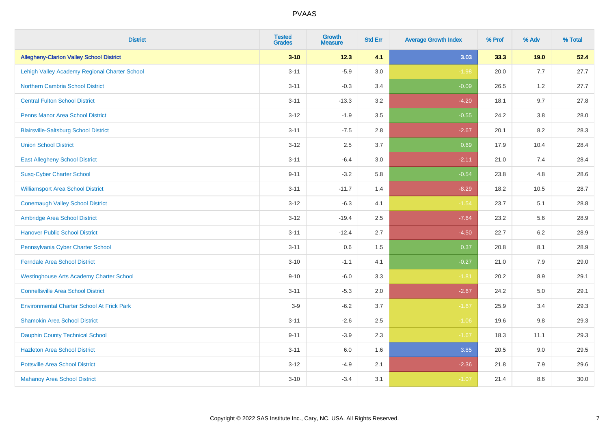| <b>District</b>                                   | <b>Tested</b><br><b>Grades</b> | <b>Growth</b><br><b>Measure</b> | <b>Std Err</b> | <b>Average Growth Index</b> | % Prof | % Adv   | % Total |
|---------------------------------------------------|--------------------------------|---------------------------------|----------------|-----------------------------|--------|---------|---------|
| <b>Allegheny-Clarion Valley School District</b>   | $3 - 10$                       | 12.3                            | 4.1            | 3.03                        | 33.3   | 19.0    | 52.4    |
| Lehigh Valley Academy Regional Charter School     | $3 - 11$                       | $-5.9$                          | 3.0            | $-1.98$                     | 20.0   | 7.7     | 27.7    |
| <b>Northern Cambria School District</b>           | $3 - 11$                       | $-0.3$                          | 3.4            | $-0.09$                     | 26.5   | 1.2     | 27.7    |
| <b>Central Fulton School District</b>             | $3 - 11$                       | $-13.3$                         | 3.2            | $-4.20$                     | 18.1   | 9.7     | 27.8    |
| <b>Penns Manor Area School District</b>           | $3 - 12$                       | $-1.9$                          | 3.5            | $-0.55$                     | 24.2   | 3.8     | 28.0    |
| <b>Blairsville-Saltsburg School District</b>      | $3 - 11$                       | $-7.5$                          | 2.8            | $-2.67$                     | 20.1   | 8.2     | 28.3    |
| <b>Union School District</b>                      | $3 - 12$                       | 2.5                             | 3.7            | 0.69                        | 17.9   | 10.4    | 28.4    |
| <b>East Allegheny School District</b>             | $3 - 11$                       | $-6.4$                          | 3.0            | $-2.11$                     | 21.0   | 7.4     | 28.4    |
| <b>Susq-Cyber Charter School</b>                  | $9 - 11$                       | $-3.2$                          | 5.8            | $-0.54$                     | 23.8   | 4.8     | 28.6    |
| <b>Williamsport Area School District</b>          | $3 - 11$                       | $-11.7$                         | 1.4            | $-8.29$                     | 18.2   | 10.5    | 28.7    |
| <b>Conemaugh Valley School District</b>           | $3 - 12$                       | $-6.3$                          | 4.1            | $-1.54$                     | 23.7   | 5.1     | 28.8    |
| Ambridge Area School District                     | $3 - 12$                       | $-19.4$                         | 2.5            | $-7.64$                     | 23.2   | 5.6     | 28.9    |
| <b>Hanover Public School District</b>             | $3 - 11$                       | $-12.4$                         | 2.7            | $-4.50$                     | 22.7   | $6.2\,$ | 28.9    |
| Pennsylvania Cyber Charter School                 | $3 - 11$                       | 0.6                             | 1.5            | 0.37                        | 20.8   | 8.1     | 28.9    |
| <b>Ferndale Area School District</b>              | $3 - 10$                       | $-1.1$                          | 4.1            | $-0.27$                     | 21.0   | 7.9     | 29.0    |
| <b>Westinghouse Arts Academy Charter School</b>   | $9 - 10$                       | $-6.0$                          | 3.3            | $-1.81$                     | 20.2   | $8.9\,$ | 29.1    |
| <b>Connellsville Area School District</b>         | $3 - 11$                       | $-5.3$                          | 2.0            | $-2.67$                     | 24.2   | 5.0     | 29.1    |
| <b>Environmental Charter School At Frick Park</b> | $3-9$                          | $-6.2$                          | 3.7            | $-1.67$                     | 25.9   | 3.4     | 29.3    |
| <b>Shamokin Area School District</b>              | $3 - 11$                       | $-2.6$                          | 2.5            | $-1.06$                     | 19.6   | 9.8     | 29.3    |
| <b>Dauphin County Technical School</b>            | $9 - 11$                       | $-3.9$                          | 2.3            | $-1.67$                     | 18.3   | 11.1    | 29.3    |
| <b>Hazleton Area School District</b>              | $3 - 11$                       | 6.0                             | 1.6            | 3.85                        | 20.5   | 9.0     | 29.5    |
| <b>Pottsville Area School District</b>            | $3 - 12$                       | $-4.9$                          | 2.1            | $-2.36$                     | 21.8   | 7.9     | 29.6    |
| <b>Mahanoy Area School District</b>               | $3 - 10$                       | $-3.4$                          | 3.1            | $-1.07$                     | 21.4   | 8.6     | 30.0    |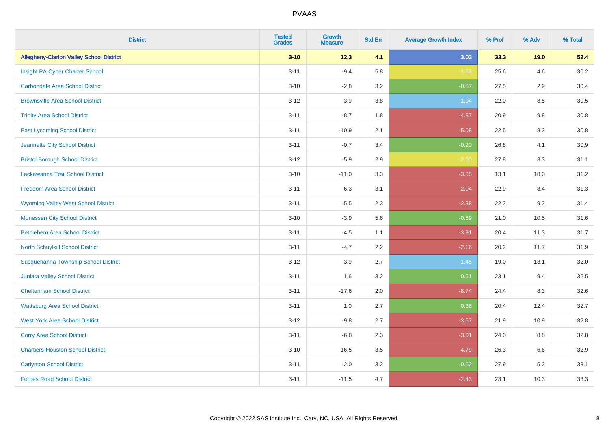| <b>District</b>                                 | <b>Tested</b><br><b>Grades</b> | <b>Growth</b><br><b>Measure</b> | <b>Std Err</b> | <b>Average Growth Index</b> | % Prof | % Adv | % Total |
|-------------------------------------------------|--------------------------------|---------------------------------|----------------|-----------------------------|--------|-------|---------|
| <b>Allegheny-Clarion Valley School District</b> | $3 - 10$                       | 12.3                            | 4.1            | 3.03                        | 33.3   | 19.0  | 52.4    |
| Insight PA Cyber Charter School                 | $3 - 11$                       | $-9.4$                          | 5.8            | $-1.62$                     | 25.6   | 4.6   | 30.2    |
| <b>Carbondale Area School District</b>          | $3 - 10$                       | $-2.8$                          | 3.2            | $-0.87$                     | 27.5   | 2.9   | 30.4    |
| <b>Brownsville Area School District</b>         | $3 - 12$                       | 3.9                             | 3.8            | 1.04                        | 22.0   | 8.5   | 30.5    |
| <b>Trinity Area School District</b>             | $3 - 11$                       | $-8.7$                          | 1.8            | $-4.87$                     | 20.9   | 9.8   | 30.8    |
| <b>East Lycoming School District</b>            | $3 - 11$                       | $-10.9$                         | 2.1            | $-5.08$                     | 22.5   | 8.2   | 30.8    |
| Jeannette City School District                  | $3 - 11$                       | $-0.7$                          | 3.4            | $-0.20$                     | 26.8   | 4.1   | 30.9    |
| <b>Bristol Borough School District</b>          | $3 - 12$                       | $-5.9$                          | 2.9            | $-2.00$                     | 27.8   | 3.3   | 31.1    |
| Lackawanna Trail School District                | $3 - 10$                       | $-11.0$                         | 3.3            | $-3.35$                     | 13.1   | 18.0  | 31.2    |
| <b>Freedom Area School District</b>             | $3 - 11$                       | $-6.3$                          | 3.1            | $-2.04$                     | 22.9   | 8.4   | 31.3    |
| <b>Wyoming Valley West School District</b>      | $3 - 11$                       | $-5.5$                          | 2.3            | $-2.38$                     | 22.2   | 9.2   | 31.4    |
| <b>Monessen City School District</b>            | $3 - 10$                       | $-3.9$                          | 5.6            | $-0.69$                     | 21.0   | 10.5  | 31.6    |
| <b>Bethlehem Area School District</b>           | $3 - 11$                       | $-4.5$                          | 1.1            | $-3.91$                     | 20.4   | 11.3  | 31.7    |
| North Schuylkill School District                | $3 - 11$                       | $-4.7$                          | 2.2            | $-2.16$                     | 20.2   | 11.7  | 31.9    |
| Susquehanna Township School District            | $3 - 12$                       | 3.9                             | 2.7            | 1.45                        | 19.0   | 13.1  | 32.0    |
| Juniata Valley School District                  | $3 - 11$                       | 1.6                             | 3.2            | 0.51                        | 23.1   | 9.4   | 32.5    |
| <b>Cheltenham School District</b>               | $3 - 11$                       | $-17.6$                         | 2.0            | $-8.74$                     | 24.4   | 8.3   | 32.6    |
| <b>Wattsburg Area School District</b>           | $3 - 11$                       | 1.0                             | 2.7            | 0.36                        | 20.4   | 12.4  | 32.7    |
| <b>West York Area School District</b>           | $3 - 12$                       | $-9.8$                          | 2.7            | $-3.57$                     | 21.9   | 10.9  | 32.8    |
| <b>Corry Area School District</b>               | $3 - 11$                       | $-6.8$                          | 2.3            | $-3.01$                     | 24.0   | 8.8   | 32.8    |
| <b>Chartiers-Houston School District</b>        | $3 - 10$                       | $-16.5$                         | 3.5            | $-4.79$                     | 26.3   | 6.6   | 32.9    |
| <b>Carlynton School District</b>                | $3 - 11$                       | $-2.0$                          | 3.2            | $-0.62$                     | 27.9   | 5.2   | 33.1    |
| <b>Forbes Road School District</b>              | $3 - 11$                       | $-11.5$                         | 4.7            | $-2.43$                     | 23.1   | 10.3  | 33.3    |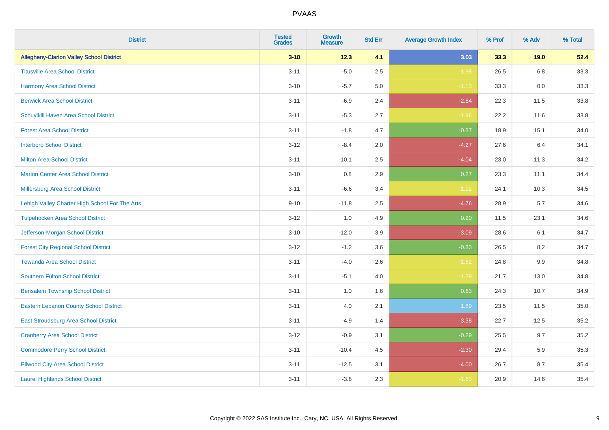| <b>District</b>                                 | <b>Tested</b><br><b>Grades</b> | <b>Growth</b><br><b>Measure</b> | <b>Std Err</b> | <b>Average Growth Index</b> | % Prof | % Adv   | % Total |
|-------------------------------------------------|--------------------------------|---------------------------------|----------------|-----------------------------|--------|---------|---------|
| <b>Allegheny-Clarion Valley School District</b> | $3 - 10$                       | 12.3                            | 4.1            | 3.03                        | 33.3   | 19.0    | 52.4    |
| <b>Titusville Area School District</b>          | $3 - 11$                       | $-5.0$                          | 2.5            | $-1.98$                     | 26.5   | 6.8     | 33.3    |
| Harmony Area School District                    | $3 - 10$                       | $-5.7$                          | 5.0            | $-1.13$                     | 33.3   | 0.0     | 33.3    |
| <b>Berwick Area School District</b>             | $3 - 11$                       | $-6.9$                          | 2.4            | $-2.84$                     | 22.3   | 11.5    | 33.8    |
| Schuylkill Haven Area School District           | $3 - 11$                       | $-5.3$                          | 2.7            | $-1.96$                     | 22.2   | 11.6    | 33.8    |
| <b>Forest Area School District</b>              | $3 - 11$                       | $-1.8$                          | 4.7            | $-0.37$                     | 18.9   | 15.1    | 34.0    |
| <b>Interboro School District</b>                | $3 - 12$                       | $-8.4$                          | 2.0            | $-4.27$                     | 27.6   | 6.4     | 34.1    |
| <b>Milton Area School District</b>              | $3 - 11$                       | $-10.1$                         | 2.5            | $-4.04$                     | 23.0   | 11.3    | 34.2    |
| <b>Marion Center Area School District</b>       | $3 - 10$                       | 0.8                             | 2.9            | 0.27                        | 23.3   | 11.1    | 34.4    |
| Millersburg Area School District                | $3 - 11$                       | $-6.6$                          | 3.4            | $-1.92$                     | 24.1   | 10.3    | 34.5    |
| Lehigh Valley Charter High School For The Arts  | $9 - 10$                       | $-11.8$                         | 2.5            | $-4.76$                     | 28.9   | 5.7     | 34.6    |
| <b>Tulpehocken Area School District</b>         | $3 - 12$                       | 1.0                             | 4.9            | 0.20                        | 11.5   | 23.1    | 34.6    |
| Jefferson-Morgan School District                | $3 - 10$                       | $-12.0$                         | 3.9            | $-3.09$                     | 28.6   | 6.1     | 34.7    |
| <b>Forest City Regional School District</b>     | $3 - 12$                       | $-1.2$                          | 3.6            | $-0.33$                     | 26.5   | 8.2     | 34.7    |
| <b>Towanda Area School District</b>             | $3 - 11$                       | $-4.0$                          | 2.6            | $-1.52$                     | 24.8   | $9.9\,$ | 34.8    |
| <b>Southern Fulton School District</b>          | $3 - 11$                       | $-5.1$                          | 4.0            | $-1.29$                     | 21.7   | 13.0    | 34.8    |
| <b>Bensalem Township School District</b>        | $3 - 11$                       | 1.0                             | 1.6            | 0.63                        | 24.3   | 10.7    | 34.9    |
| <b>Eastern Lebanon County School District</b>   | $3 - 11$                       | 4.0                             | 2.1            | 1.89                        | 23.5   | 11.5    | 35.0    |
| East Stroudsburg Area School District           | $3 - 11$                       | $-4.9$                          | 1.4            | $-3.38$                     | 22.7   | 12.5    | 35.2    |
| <b>Cranberry Area School District</b>           | $3 - 12$                       | $-0.9$                          | 3.1            | $-0.29$                     | 25.5   | 9.7     | 35.2    |
| <b>Commodore Perry School District</b>          | $3 - 11$                       | $-10.4$                         | 4.5            | $-2.30$                     | 29.4   | 5.9     | 35.3    |
| <b>Ellwood City Area School District</b>        | $3 - 11$                       | $-12.5$                         | 3.1            | $-4.00$                     | 26.7   | 8.7     | 35.4    |
| <b>Laurel Highlands School District</b>         | $3 - 11$                       | $-3.8$                          | 2.3            | $-1.63$                     | 20.9   | 14.6    | 35.4    |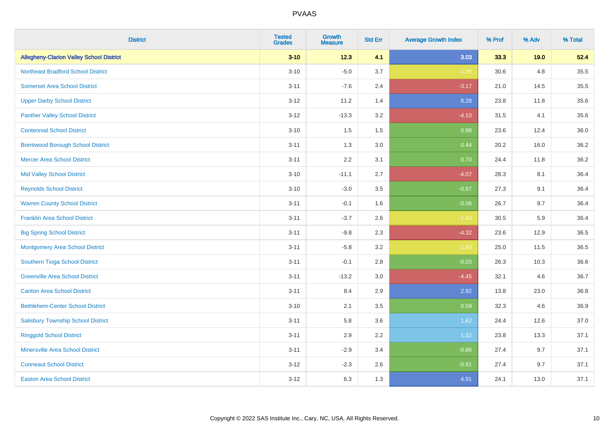| <b>District</b>                                 | <b>Tested</b><br><b>Grades</b> | <b>Growth</b><br><b>Measure</b> | <b>Std Err</b> | <b>Average Growth Index</b> | % Prof | % Adv | % Total |
|-------------------------------------------------|--------------------------------|---------------------------------|----------------|-----------------------------|--------|-------|---------|
| <b>Allegheny-Clarion Valley School District</b> | $3 - 10$                       | 12.3                            | 4.1            | 3.03                        | 33.3   | 19.0  | 52.4    |
| <b>Northeast Bradford School District</b>       | $3 - 10$                       | $-5.0$                          | 3.7            | $-1.35$                     | 30.6   | 4.8   | 35.5    |
| <b>Somerset Area School District</b>            | $3 - 11$                       | $-7.6$                          | 2.4            | $-3.17$                     | 21.0   | 14.5  | 35.5    |
| <b>Upper Darby School District</b>              | $3 - 12$                       | 11.2                            | 1.4            | 8.28                        | 23.8   | 11.8  | 35.6    |
| <b>Panther Valley School District</b>           | $3-12$                         | $-13.3$                         | 3.2            | $-4.10$                     | 31.5   | 4.1   | 35.6    |
| <b>Centennial School District</b>               | $3 - 10$                       | 1.5                             | 1.5            | 0.98                        | 23.6   | 12.4  | 36.0    |
| <b>Brentwood Borough School District</b>        | $3 - 11$                       | 1.3                             | 3.0            | 0.44                        | 20.2   | 16.0  | 36.2    |
| <b>Mercer Area School District</b>              | $3 - 11$                       | 2.2                             | 3.1            | 0.70                        | 24.4   | 11.8  | 36.2    |
| <b>Mid Valley School District</b>               | $3 - 10$                       | $-11.1$                         | 2.7            | $-4.07$                     | 28.3   | 8.1   | 36.4    |
| <b>Reynolds School District</b>                 | $3 - 10$                       | $-3.0$                          | 3.5            | $-0.87$                     | 27.3   | 9.1   | 36.4    |
| <b>Warren County School District</b>            | $3 - 11$                       | $-0.1$                          | 1.6            | $-0.06$                     | 26.7   | 9.7   | 36.4    |
| <b>Franklin Area School District</b>            | $3 - 11$                       | $-3.7$                          | 2.6            | $-1.43$                     | 30.5   | 5.9   | 36.4    |
| <b>Big Spring School District</b>               | $3 - 11$                       | $-9.8$                          | 2.3            | $-4.32$                     | 23.6   | 12.9  | 36.5    |
| <b>Montgomery Area School District</b>          | $3 - 11$                       | $-5.8$                          | 3.2            | $-1.83$                     | 25.0   | 11.5  | 36.5    |
| Southern Tioga School District                  | $3 - 11$                       | $-0.1$                          | 2.8            | $-0.03$                     | 26.3   | 10.3  | 36.6    |
| <b>Greenville Area School District</b>          | $3 - 11$                       | $-13.2$                         | 3.0            | $-4.45$                     | 32.1   | 4.6   | 36.7    |
| <b>Canton Area School District</b>              | $3 - 11$                       | 8.4                             | 2.9            | 2.92                        | 13.8   | 23.0  | 36.8    |
| <b>Bethlehem-Center School District</b>         | $3 - 10$                       | 2.1                             | 3.5            | 0.59                        | 32.3   | 4.6   | 36.9    |
| <b>Salisbury Township School District</b>       | $3 - 11$                       | 5.8                             | 3.6            | 1.62                        | 24.4   | 12.6  | 37.0    |
| <b>Ringgold School District</b>                 | $3 - 11$                       | 2.9                             | 2.2            | 1.32                        | 23.8   | 13.3  | 37.1    |
| <b>Minersville Area School District</b>         | $3 - 11$                       | $-2.9$                          | 3.4            | $-0.86$                     | 27.4   | 9.7   | 37.1    |
| <b>Conneaut School District</b>                 | $3-12$                         | $-2.3$                          | 2.6            | $-0.91$                     | 27.4   | 9.7   | 37.1    |
| <b>Easton Area School District</b>              | $3 - 12$                       | 6.3                             | 1.3            | 4.91                        | 24.1   | 13.0  | 37.1    |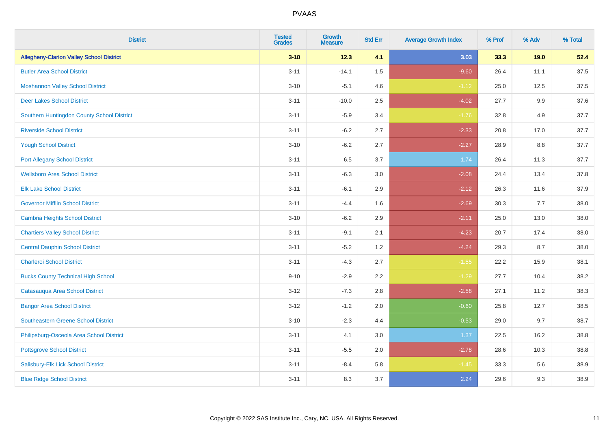| <b>District</b>                                 | <b>Tested</b><br><b>Grades</b> | <b>Growth</b><br><b>Measure</b> | <b>Std Err</b> | <b>Average Growth Index</b> | % Prof | % Adv   | % Total |
|-------------------------------------------------|--------------------------------|---------------------------------|----------------|-----------------------------|--------|---------|---------|
| <b>Allegheny-Clarion Valley School District</b> | $3 - 10$                       | 12.3                            | 4.1            | 3.03                        | 33.3   | 19.0    | 52.4    |
| <b>Butler Area School District</b>              | $3 - 11$                       | $-14.1$                         | $1.5$          | $-9.60$                     | 26.4   | 11.1    | 37.5    |
| <b>Moshannon Valley School District</b>         | $3 - 10$                       | $-5.1$                          | 4.6            | $-1.12$                     | 25.0   | 12.5    | 37.5    |
| <b>Deer Lakes School District</b>               | $3 - 11$                       | $-10.0$                         | 2.5            | $-4.02$                     | 27.7   | $9.9\,$ | 37.6    |
| Southern Huntingdon County School District      | $3 - 11$                       | $-5.9$                          | 3.4            | $-1.76$                     | 32.8   | 4.9     | 37.7    |
| <b>Riverside School District</b>                | $3 - 11$                       | $-6.2$                          | 2.7            | $-2.33$                     | 20.8   | 17.0    | 37.7    |
| <b>Yough School District</b>                    | $3 - 10$                       | $-6.2$                          | 2.7            | $-2.27$                     | 28.9   | 8.8     | 37.7    |
| <b>Port Allegany School District</b>            | $3 - 11$                       | 6.5                             | 3.7            | 1.74                        | 26.4   | 11.3    | 37.7    |
| <b>Wellsboro Area School District</b>           | $3 - 11$                       | $-6.3$                          | 3.0            | $-2.08$                     | 24.4   | 13.4    | 37.8    |
| <b>Elk Lake School District</b>                 | $3 - 11$                       | $-6.1$                          | 2.9            | $-2.12$                     | 26.3   | 11.6    | 37.9    |
| <b>Governor Mifflin School District</b>         | $3 - 11$                       | $-4.4$                          | 1.6            | $-2.69$                     | 30.3   | 7.7     | 38.0    |
| <b>Cambria Heights School District</b>          | $3 - 10$                       | $-6.2$                          | 2.9            | $-2.11$                     | 25.0   | 13.0    | 38.0    |
| <b>Chartiers Valley School District</b>         | $3 - 11$                       | $-9.1$                          | 2.1            | $-4.23$                     | 20.7   | 17.4    | 38.0    |
| <b>Central Dauphin School District</b>          | $3 - 11$                       | $-5.2$                          | 1.2            | $-4.24$                     | 29.3   | 8.7     | 38.0    |
| <b>Charleroi School District</b>                | $3 - 11$                       | $-4.3$                          | 2.7            | $-1.55$                     | 22.2   | 15.9    | 38.1    |
| <b>Bucks County Technical High School</b>       | $9 - 10$                       | $-2.9$                          | 2.2            | $-1.29$                     | 27.7   | 10.4    | 38.2    |
| Catasauqua Area School District                 | $3 - 12$                       | $-7.3$                          | 2.8            | $-2.58$                     | 27.1   | 11.2    | 38.3    |
| <b>Bangor Area School District</b>              | $3 - 12$                       | $-1.2$                          | 2.0            | $-0.60$                     | 25.8   | 12.7    | 38.5    |
| <b>Southeastern Greene School District</b>      | $3 - 10$                       | $-2.3$                          | 4.4            | $-0.53$                     | 29.0   | 9.7     | 38.7    |
| Philipsburg-Osceola Area School District        | $3 - 11$                       | 4.1                             | 3.0            | 1.37                        | 22.5   | 16.2    | 38.8    |
| <b>Pottsgrove School District</b>               | $3 - 11$                       | $-5.5$                          | 2.0            | $-2.78$                     | 28.6   | 10.3    | 38.8    |
| Salisbury-Elk Lick School District              | $3 - 11$                       | $-8.4$                          | 5.8            | $-1.45$                     | 33.3   | 5.6     | 38.9    |
| <b>Blue Ridge School District</b>               | $3 - 11$                       | 8.3                             | 3.7            | 2.24                        | 29.6   | 9.3     | 38.9    |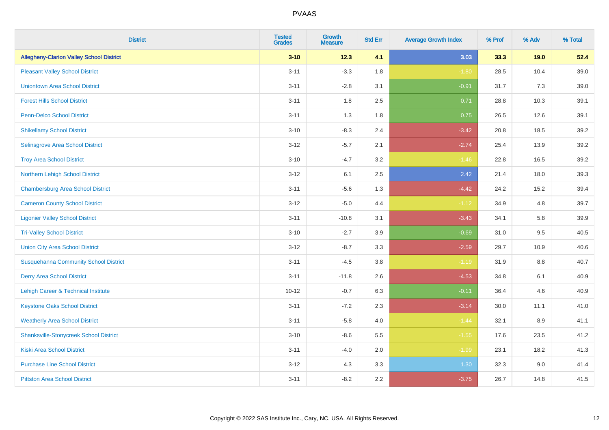| <b>District</b>                                 | <b>Tested</b><br><b>Grades</b> | <b>Growth</b><br><b>Measure</b> | <b>Std Err</b> | <b>Average Growth Index</b> | % Prof | % Adv   | % Total |
|-------------------------------------------------|--------------------------------|---------------------------------|----------------|-----------------------------|--------|---------|---------|
| <b>Allegheny-Clarion Valley School District</b> | $3 - 10$                       | 12.3                            | 4.1            | 3.03                        | 33.3   | 19.0    | 52.4    |
| <b>Pleasant Valley School District</b>          | $3 - 11$                       | $-3.3$                          | 1.8            | $-1.80$                     | 28.5   | 10.4    | 39.0    |
| <b>Uniontown Area School District</b>           | $3 - 11$                       | $-2.8$                          | 3.1            | $-0.91$                     | 31.7   | 7.3     | 39.0    |
| <b>Forest Hills School District</b>             | $3 - 11$                       | 1.8                             | 2.5            | 0.71                        | 28.8   | 10.3    | 39.1    |
| <b>Penn-Delco School District</b>               | $3 - 11$                       | 1.3                             | 1.8            | 0.75                        | 26.5   | 12.6    | 39.1    |
| <b>Shikellamy School District</b>               | $3 - 10$                       | $-8.3$                          | 2.4            | $-3.42$                     | 20.8   | 18.5    | 39.2    |
| Selinsgrove Area School District                | $3 - 12$                       | $-5.7$                          | 2.1            | $-2.74$                     | 25.4   | 13.9    | 39.2    |
| <b>Troy Area School District</b>                | $3 - 10$                       | $-4.7$                          | 3.2            | $-1.46$                     | 22.8   | 16.5    | 39.2    |
| Northern Lehigh School District                 | $3 - 12$                       | 6.1                             | 2.5            | 2.42                        | 21.4   | 18.0    | 39.3    |
| <b>Chambersburg Area School District</b>        | $3 - 11$                       | $-5.6$                          | 1.3            | $-4.42$                     | 24.2   | 15.2    | 39.4    |
| <b>Cameron County School District</b>           | $3 - 12$                       | $-5.0$                          | 4.4            | $-1.12$                     | 34.9   | 4.8     | 39.7    |
| <b>Ligonier Valley School District</b>          | $3 - 11$                       | $-10.8$                         | 3.1            | $-3.43$                     | 34.1   | 5.8     | 39.9    |
| <b>Tri-Valley School District</b>               | $3 - 10$                       | $-2.7$                          | 3.9            | $-0.69$                     | 31.0   | 9.5     | 40.5    |
| <b>Union City Area School District</b>          | $3 - 12$                       | $-8.7$                          | 3.3            | $-2.59$                     | 29.7   | 10.9    | 40.6    |
| <b>Susquehanna Community School District</b>    | $3 - 11$                       | $-4.5$                          | 3.8            | $-1.19$                     | 31.9   | 8.8     | 40.7    |
| <b>Derry Area School District</b>               | $3 - 11$                       | $-11.8$                         | 2.6            | $-4.53$                     | 34.8   | 6.1     | 40.9    |
| Lehigh Career & Technical Institute             | $10 - 12$                      | $-0.7$                          | 6.3            | $-0.11$                     | 36.4   | 4.6     | 40.9    |
| <b>Keystone Oaks School District</b>            | $3 - 11$                       | $-7.2$                          | 2.3            | $-3.14$                     | 30.0   | 11.1    | 41.0    |
| <b>Weatherly Area School District</b>           | $3 - 11$                       | $-5.8$                          | 4.0            | $-1.44$                     | 32.1   | $8.9\,$ | 41.1    |
| <b>Shanksville-Stonycreek School District</b>   | $3 - 10$                       | $-8.6$                          | 5.5            | $-1.55$                     | 17.6   | 23.5    | 41.2    |
| <b>Kiski Area School District</b>               | $3 - 11$                       | $-4.0$                          | 2.0            | $-1.99$                     | 23.1   | 18.2    | 41.3    |
| <b>Purchase Line School District</b>            | $3 - 12$                       | 4.3                             | 3.3            | 1.30                        | 32.3   | 9.0     | 41.4    |
| <b>Pittston Area School District</b>            | $3 - 11$                       | $-8.2$                          | 2.2            | $-3.75$                     | 26.7   | 14.8    | 41.5    |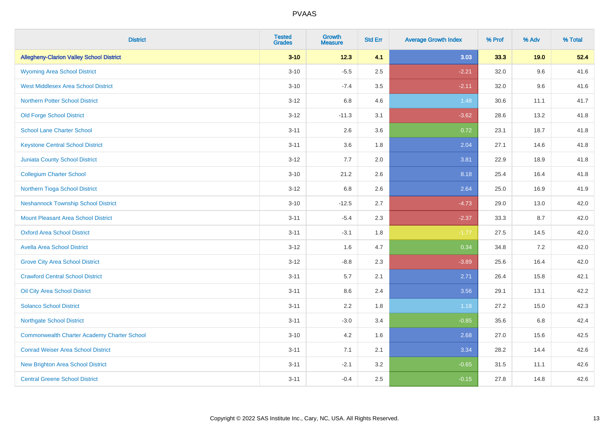| <b>District</b>                                    | <b>Tested</b><br><b>Grades</b> | <b>Growth</b><br><b>Measure</b> | <b>Std Err</b> | <b>Average Growth Index</b> | % Prof | % Adv | % Total |
|----------------------------------------------------|--------------------------------|---------------------------------|----------------|-----------------------------|--------|-------|---------|
| <b>Allegheny-Clarion Valley School District</b>    | $3 - 10$                       | 12.3                            | 4.1            | 3.03                        | 33.3   | 19.0  | 52.4    |
| <b>Wyoming Area School District</b>                | $3 - 10$                       | $-5.5$                          | 2.5            | $-2.21$                     | 32.0   | 9.6   | 41.6    |
| <b>West Middlesex Area School District</b>         | $3 - 10$                       | $-7.4$                          | 3.5            | $-2.11$                     | 32.0   | 9.6   | 41.6    |
| <b>Northern Potter School District</b>             | $3 - 12$                       | 6.8                             | 4.6            | 1.48                        | 30.6   | 11.1  | 41.7    |
| <b>Old Forge School District</b>                   | $3 - 12$                       | $-11.3$                         | 3.1            | $-3.62$                     | 28.6   | 13.2  | 41.8    |
| <b>School Lane Charter School</b>                  | $3 - 11$                       | 2.6                             | 3.6            | 0.72                        | 23.1   | 18.7  | 41.8    |
| <b>Keystone Central School District</b>            | $3 - 11$                       | 3.6                             | 1.8            | 2.04                        | 27.1   | 14.6  | 41.8    |
| <b>Juniata County School District</b>              | $3 - 12$                       | 7.7                             | 2.0            | 3.81                        | 22.9   | 18.9  | 41.8    |
| <b>Collegium Charter School</b>                    | $3 - 10$                       | 21.2                            | 2.6            | 8.18                        | 25.4   | 16.4  | 41.8    |
| Northern Tioga School District                     | $3 - 12$                       | 6.8                             | 2.6            | 2.64                        | 25.0   | 16.9  | 41.9    |
| <b>Neshannock Township School District</b>         | $3 - 10$                       | $-12.5$                         | 2.7            | $-4.73$                     | 29.0   | 13.0  | 42.0    |
| Mount Pleasant Area School District                | $3 - 11$                       | $-5.4$                          | 2.3            | $-2.37$                     | 33.3   | 8.7   | 42.0    |
| <b>Oxford Area School District</b>                 | $3 - 11$                       | $-3.1$                          | 1.8            | $-1.77$                     | 27.5   | 14.5  | 42.0    |
| <b>Avella Area School District</b>                 | $3 - 12$                       | 1.6                             | 4.7            | 0.34                        | 34.8   | 7.2   | 42.0    |
| <b>Grove City Area School District</b>             | $3 - 12$                       | $-8.8$                          | 2.3            | $-3.89$                     | 25.6   | 16.4  | 42.0    |
| <b>Crawford Central School District</b>            | $3 - 11$                       | 5.7                             | 2.1            | 2.71                        | 26.4   | 15.8  | 42.1    |
| <b>Oil City Area School District</b>               | $3 - 11$                       | 8.6                             | 2.4            | 3.56                        | 29.1   | 13.1  | 42.2    |
| <b>Solanco School District</b>                     | $3 - 11$                       | 2.2                             | 1.8            | 1.18                        | 27.2   | 15.0  | 42.3    |
| <b>Northgate School District</b>                   | $3 - 11$                       | $-3.0$                          | 3.4            | $-0.85$                     | 35.6   | 6.8   | 42.4    |
| <b>Commonwealth Charter Academy Charter School</b> | $3 - 10$                       | 4.2                             | 1.6            | 2.68                        | 27.0   | 15.6  | 42.5    |
| <b>Conrad Weiser Area School District</b>          | $3 - 11$                       | 7.1                             | 2.1            | 3.34                        | 28.2   | 14.4  | 42.6    |
| <b>New Brighton Area School District</b>           | $3 - 11$                       | $-2.1$                          | 3.2            | $-0.65$                     | 31.5   | 11.1  | 42.6    |
| <b>Central Greene School District</b>              | $3 - 11$                       | $-0.4$                          | 2.5            | $-0.15$                     | 27.8   | 14.8  | 42.6    |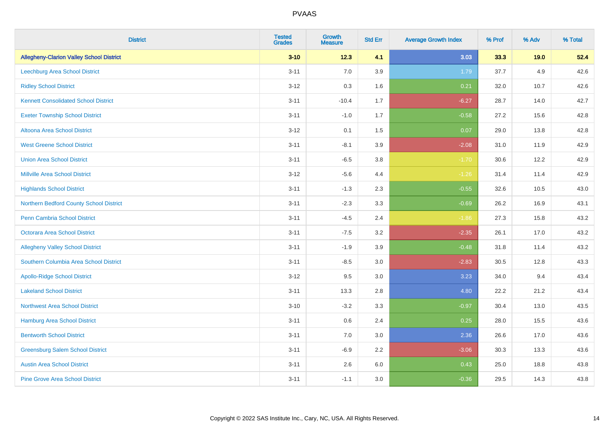| <b>District</b>                                 | <b>Tested</b><br><b>Grades</b> | <b>Growth</b><br><b>Measure</b> | <b>Std Err</b> | <b>Average Growth Index</b> | % Prof | % Adv | % Total |
|-------------------------------------------------|--------------------------------|---------------------------------|----------------|-----------------------------|--------|-------|---------|
| <b>Allegheny-Clarion Valley School District</b> | $3 - 10$                       | 12.3                            | 4.1            | 3.03                        | 33.3   | 19.0  | 52.4    |
| Leechburg Area School District                  | $3 - 11$                       | 7.0                             | 3.9            | 1.79                        | 37.7   | 4.9   | 42.6    |
| <b>Ridley School District</b>                   | $3 - 12$                       | 0.3                             | 1.6            | 0.21                        | 32.0   | 10.7  | 42.6    |
| <b>Kennett Consolidated School District</b>     | $3 - 11$                       | $-10.4$                         | 1.7            | $-6.27$                     | 28.7   | 14.0  | 42.7    |
| <b>Exeter Township School District</b>          | $3 - 11$                       | $-1.0$                          | 1.7            | $-0.58$                     | 27.2   | 15.6  | 42.8    |
| <b>Altoona Area School District</b>             | $3 - 12$                       | 0.1                             | 1.5            | 0.07                        | 29.0   | 13.8  | 42.8    |
| <b>West Greene School District</b>              | $3 - 11$                       | $-8.1$                          | 3.9            | $-2.08$                     | 31.0   | 11.9  | 42.9    |
| <b>Union Area School District</b>               | $3 - 11$                       | $-6.5$                          | 3.8            | $-1.70$                     | 30.6   | 12.2  | 42.9    |
| <b>Millville Area School District</b>           | $3 - 12$                       | $-5.6$                          | 4.4            | $-1.26$                     | 31.4   | 11.4  | 42.9    |
| <b>Highlands School District</b>                | $3 - 11$                       | $-1.3$                          | 2.3            | $-0.55$                     | 32.6   | 10.5  | 43.0    |
| Northern Bedford County School District         | $3 - 11$                       | $-2.3$                          | 3.3            | $-0.69$                     | 26.2   | 16.9  | 43.1    |
| <b>Penn Cambria School District</b>             | $3 - 11$                       | $-4.5$                          | 2.4            | $-1.86$                     | 27.3   | 15.8  | 43.2    |
| Octorara Area School District                   | $3 - 11$                       | $-7.5$                          | 3.2            | $-2.35$                     | 26.1   | 17.0  | 43.2    |
| <b>Allegheny Valley School District</b>         | $3 - 11$                       | $-1.9$                          | 3.9            | $-0.48$                     | 31.8   | 11.4  | 43.2    |
| Southern Columbia Area School District          | $3 - 11$                       | $-8.5$                          | 3.0            | $-2.83$                     | 30.5   | 12.8  | 43.3    |
| <b>Apollo-Ridge School District</b>             | $3 - 12$                       | 9.5                             | 3.0            | 3.23                        | 34.0   | 9.4   | 43.4    |
| <b>Lakeland School District</b>                 | $3 - 11$                       | 13.3                            | 2.8            | 4.80                        | 22.2   | 21.2  | 43.4    |
| <b>Northwest Area School District</b>           | $3 - 10$                       | $-3.2$                          | 3.3            | $-0.97$                     | 30.4   | 13.0  | 43.5    |
| <b>Hamburg Area School District</b>             | $3 - 11$                       | 0.6                             | 2.4            | 0.25                        | 28.0   | 15.5  | 43.6    |
| <b>Bentworth School District</b>                | $3 - 11$                       | 7.0                             | 3.0            | 2.36                        | 26.6   | 17.0  | 43.6    |
| <b>Greensburg Salem School District</b>         | $3 - 11$                       | $-6.9$                          | 2.2            | $-3.06$                     | 30.3   | 13.3  | 43.6    |
| <b>Austin Area School District</b>              | $3 - 11$                       | 2.6                             | 6.0            | 0.43                        | 25.0   | 18.8  | 43.8    |
| <b>Pine Grove Area School District</b>          | $3 - 11$                       | $-1.1$                          | 3.0            | $-0.36$                     | 29.5   | 14.3  | 43.8    |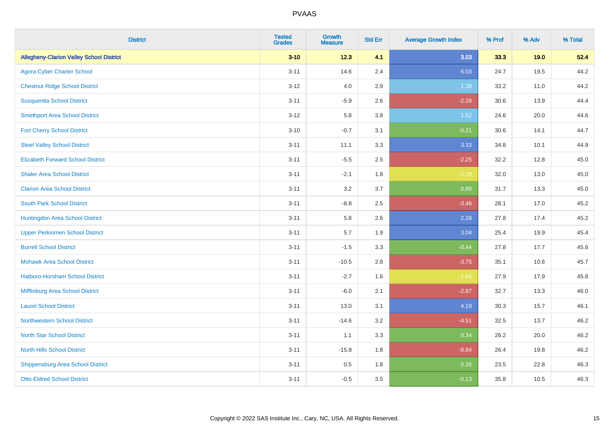| <b>District</b>                                 | <b>Tested</b><br><b>Grades</b> | <b>Growth</b><br><b>Measure</b> | <b>Std Err</b> | <b>Average Growth Index</b> | % Prof | % Adv | % Total |
|-------------------------------------------------|--------------------------------|---------------------------------|----------------|-----------------------------|--------|-------|---------|
| <b>Allegheny-Clarion Valley School District</b> | $3 - 10$                       | 12.3                            | 4.1            | 3.03                        | 33.3   | 19.0  | 52.4    |
| <b>Agora Cyber Charter School</b>               | $3 - 11$                       | 14.6                            | 2.4            | 6.03                        | 24.7   | 19.5  | 44.2    |
| <b>Chestnut Ridge School District</b>           | $3 - 12$                       | 4.0                             | 2.9            | 1.38                        | 33.2   | 11.0  | 44.2    |
| <b>Susquenita School District</b>               | $3 - 11$                       | $-5.9$                          | 2.6            | $-2.28$                     | 30.6   | 13.9  | 44.4    |
| <b>Smethport Area School District</b>           | $3-12$                         | 5.8                             | 3.8            | 1.52                        | 24.6   | 20.0  | 44.6    |
| <b>Fort Cherry School District</b>              | $3 - 10$                       | $-0.7$                          | 3.1            | $-0.21$                     | 30.6   | 14.1  | 44.7    |
| <b>Steel Valley School District</b>             | $3 - 11$                       | 11.1                            | 3.3            | 3.33                        | 34.8   | 10.1  | 44.9    |
| <b>Elizabeth Forward School District</b>        | $3 - 11$                       | $-5.5$                          | 2.5            | $-2.25$                     | 32.2   | 12.8  | 45.0    |
| <b>Shaler Area School District</b>              | $3 - 11$                       | $-2.1$                          | 1.8            | $-1.18$                     | 32.0   | 13.0  | 45.0    |
| <b>Clarion Area School District</b>             | $3 - 11$                       | 3.2                             | 3.7            | 0.88                        | 31.7   | 13.3  | 45.0    |
| <b>South Park School District</b>               | $3 - 11$                       | $-8.8$                          | 2.5            | $-3.46$                     | 28.1   | 17.0  | 45.2    |
| Huntingdon Area School District                 | $3 - 11$                       | 5.8                             | 2.6            | 2.28                        | 27.8   | 17.4  | 45.2    |
| <b>Upper Perkiomen School District</b>          | $3 - 11$                       | 5.7                             | 1.9            | 3.04                        | 25.4   | 19.9  | 45.4    |
| <b>Burrell School District</b>                  | $3 - 11$                       | $-1.5$                          | 3.3            | $-0.44$                     | 27.8   | 17.7  | 45.6    |
| <b>Mohawk Area School District</b>              | $3 - 11$                       | $-10.5$                         | 2.8            | $-3.75$                     | 35.1   | 10.6  | 45.7    |
| <b>Hatboro-Horsham School District</b>          | $3 - 11$                       | $-2.7$                          | 1.6            | $-1.65$                     | 27.9   | 17.9  | 45.8    |
| Mifflinburg Area School District                | $3 - 11$                       | $-6.0$                          | 2.1            | $-2.87$                     | 32.7   | 13.3  | 46.0    |
| <b>Laurel School District</b>                   | $3 - 11$                       | 13.0                            | 3.1            | 4.19                        | 30.3   | 15.7  | 46.1    |
| Northwestern School District                    | $3 - 11$                       | $-14.6$                         | 3.2            | $-4.51$                     | 32.5   | 13.7  | 46.2    |
| <b>North Star School District</b>               | $3 - 11$                       | 1.1                             | 3.3            | 0.34                        | 26.2   | 20.0  | 46.2    |
| <b>North Hills School District</b>              | $3 - 11$                       | $-15.8$                         | 1.8            | $-8.84$                     | 26.4   | 19.8  | 46.2    |
| <b>Shippensburg Area School District</b>        | $3 - 11$                       | 0.5                             | 1.8            | 0.26                        | 23.5   | 22.8  | 46.3    |
| <b>Otto-Eldred School District</b>              | $3 - 11$                       | $-0.5$                          | 3.5            | $-0.13$                     | 35.8   | 10.5  | 46.3    |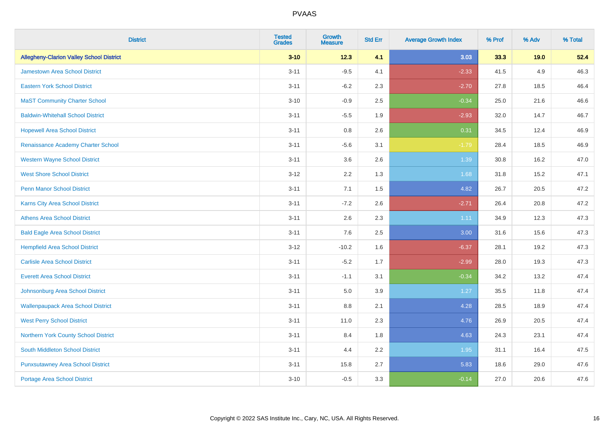| <b>District</b>                                 | <b>Tested</b><br><b>Grades</b> | <b>Growth</b><br><b>Measure</b> | <b>Std Err</b> | <b>Average Growth Index</b> | % Prof | % Adv | % Total |
|-------------------------------------------------|--------------------------------|---------------------------------|----------------|-----------------------------|--------|-------|---------|
| <b>Allegheny-Clarion Valley School District</b> | $3 - 10$                       | 12.3                            | 4.1            | 3.03                        | 33.3   | 19.0  | 52.4    |
| <b>Jamestown Area School District</b>           | $3 - 11$                       | $-9.5$                          | 4.1            | $-2.33$                     | 41.5   | 4.9   | 46.3    |
| <b>Eastern York School District</b>             | $3 - 11$                       | $-6.2$                          | 2.3            | $-2.70$                     | 27.8   | 18.5  | 46.4    |
| <b>MaST Community Charter School</b>            | $3 - 10$                       | $-0.9$                          | 2.5            | $-0.34$                     | 25.0   | 21.6  | 46.6    |
| <b>Baldwin-Whitehall School District</b>        | $3 - 11$                       | $-5.5$                          | 1.9            | $-2.93$                     | 32.0   | 14.7  | 46.7    |
| <b>Hopewell Area School District</b>            | $3 - 11$                       | 0.8                             | 2.6            | 0.31                        | 34.5   | 12.4  | 46.9    |
| Renaissance Academy Charter School              | $3 - 11$                       | $-5.6$                          | 3.1            | $-1.79$                     | 28.4   | 18.5  | 46.9    |
| <b>Western Wayne School District</b>            | $3 - 11$                       | 3.6                             | 2.6            | 1.39                        | 30.8   | 16.2  | 47.0    |
| <b>West Shore School District</b>               | $3-12$                         | 2.2                             | 1.3            | 1.68                        | 31.8   | 15.2  | 47.1    |
| <b>Penn Manor School District</b>               | $3 - 11$                       | 7.1                             | 1.5            | 4.82                        | 26.7   | 20.5  | 47.2    |
| Karns City Area School District                 | $3 - 11$                       | $-7.2$                          | 2.6            | $-2.71$                     | 26.4   | 20.8  | 47.2    |
| <b>Athens Area School District</b>              | $3 - 11$                       | 2.6                             | 2.3            | 1.11                        | 34.9   | 12.3  | 47.3    |
| <b>Bald Eagle Area School District</b>          | $3 - 11$                       | 7.6                             | 2.5            | 3.00                        | 31.6   | 15.6  | 47.3    |
| <b>Hempfield Area School District</b>           | $3 - 12$                       | $-10.2$                         | 1.6            | $-6.37$                     | 28.1   | 19.2  | 47.3    |
| <b>Carlisle Area School District</b>            | $3 - 11$                       | $-5.2$                          | 1.7            | $-2.99$                     | 28.0   | 19.3  | 47.3    |
| <b>Everett Area School District</b>             | $3 - 11$                       | $-1.1$                          | 3.1            | $-0.34$                     | 34.2   | 13.2  | 47.4    |
| Johnsonburg Area School District                | $3 - 11$                       | 5.0                             | 3.9            | 1.27                        | 35.5   | 11.8  | 47.4    |
| <b>Wallenpaupack Area School District</b>       | $3 - 11$                       | 8.8                             | 2.1            | 4.28                        | 28.5   | 18.9  | 47.4    |
| <b>West Perry School District</b>               | $3 - 11$                       | 11.0                            | 2.3            | 4.76                        | 26.9   | 20.5  | 47.4    |
| Northern York County School District            | $3 - 11$                       | 8.4                             | 1.8            | 4.63                        | 24.3   | 23.1  | 47.4    |
| South Middleton School District                 | $3 - 11$                       | 4.4                             | 2.2            | 1.95                        | 31.1   | 16.4  | 47.5    |
| <b>Punxsutawney Area School District</b>        | $3 - 11$                       | 15.8                            | 2.7            | 5.83                        | 18.6   | 29.0  | 47.6    |
| Portage Area School District                    | $3 - 10$                       | $-0.5$                          | 3.3            | $-0.14$                     | 27.0   | 20.6  | 47.6    |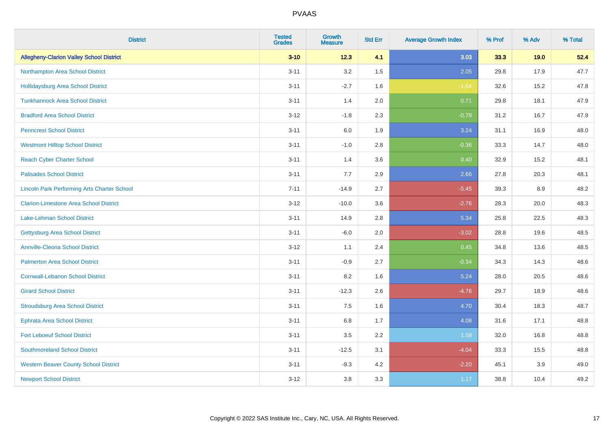| <b>District</b>                                    | <b>Tested</b><br><b>Grades</b> | <b>Growth</b><br><b>Measure</b> | <b>Std Err</b> | <b>Average Growth Index</b> | % Prof | % Adv | % Total |
|----------------------------------------------------|--------------------------------|---------------------------------|----------------|-----------------------------|--------|-------|---------|
| <b>Allegheny-Clarion Valley School District</b>    | $3 - 10$                       | 12.3                            | 4.1            | 3.03                        | 33.3   | 19.0  | 52.4    |
| Northampton Area School District                   | $3 - 11$                       | 3.2                             | 1.5            | 2.05                        | 29.8   | 17.9  | 47.7    |
| <b>Hollidaysburg Area School District</b>          | $3 - 11$                       | $-2.7$                          | 1.6            | $-1.64$                     | 32.6   | 15.2  | 47.8    |
| <b>Tunkhannock Area School District</b>            | $3 - 11$                       | 1.4                             | 2.0            | 0.71                        | 29.8   | 18.1  | 47.9    |
| <b>Bradford Area School District</b>               | $3-12$                         | $-1.8$                          | 2.3            | $-0.79$                     | 31.2   | 16.7  | 47.9    |
| <b>Penncrest School District</b>                   | $3 - 11$                       | 6.0                             | 1.9            | 3.24                        | 31.1   | 16.9  | 48.0    |
| <b>Westmont Hilltop School District</b>            | $3 - 11$                       | $-1.0$                          | 2.8            | $-0.36$                     | 33.3   | 14.7  | 48.0    |
| <b>Reach Cyber Charter School</b>                  | $3 - 11$                       | 1.4                             | 3.6            | 0.40                        | 32.9   | 15.2  | 48.1    |
| <b>Palisades School District</b>                   | $3 - 11$                       | 7.7                             | 2.9            | 2.66                        | 27.8   | 20.3  | 48.1    |
| <b>Lincoln Park Performing Arts Charter School</b> | $7 - 11$                       | $-14.9$                         | 2.7            | $-5.45$                     | 39.3   | 8.9   | 48.2    |
| <b>Clarion-Limestone Area School District</b>      | $3 - 12$                       | $-10.0$                         | 3.6            | $-2.76$                     | 28.3   | 20.0  | 48.3    |
| <b>Lake-Lehman School District</b>                 | $3 - 11$                       | 14.9                            | 2.8            | 5.34                        | 25.8   | 22.5  | 48.3    |
| <b>Gettysburg Area School District</b>             | $3 - 11$                       | $-6.0$                          | 2.0            | $-3.02$                     | 28.8   | 19.6  | 48.5    |
| <b>Annville-Cleona School District</b>             | $3 - 12$                       | 1.1                             | 2.4            | 0.45                        | 34.8   | 13.6  | 48.5    |
| <b>Palmerton Area School District</b>              | $3 - 11$                       | $-0.9$                          | 2.7            | $-0.34$                     | 34.3   | 14.3  | 48.6    |
| <b>Cornwall-Lebanon School District</b>            | $3 - 11$                       | 8.2                             | 1.6            | 5.24                        | 28.0   | 20.5  | 48.6    |
| <b>Girard School District</b>                      | $3 - 11$                       | $-12.3$                         | 2.6            | $-4.76$                     | 29.7   | 18.9  | 48.6    |
| <b>Stroudsburg Area School District</b>            | $3 - 11$                       | 7.5                             | 1.6            | 4.70                        | 30.4   | 18.3  | 48.7    |
| <b>Ephrata Area School District</b>                | $3 - 11$                       | $6.8\,$                         | 1.7            | 4.08                        | 31.6   | 17.1  | 48.8    |
| <b>Fort Leboeuf School District</b>                | $3 - 11$                       | 3.5                             | 2.2            | 1.58                        | 32.0   | 16.8  | 48.8    |
| <b>Southmoreland School District</b>               | $3 - 11$                       | $-12.5$                         | 3.1            | $-4.04$                     | 33.3   | 15.5  | 48.8    |
| <b>Western Beaver County School District</b>       | $3 - 11$                       | $-9.3$                          | 4.2            | $-2.20$                     | 45.1   | 3.9   | 49.0    |
| <b>Newport School District</b>                     | $3 - 12$                       | 3.8                             | 3.3            | 1.17                        | 38.8   | 10.4  | 49.2    |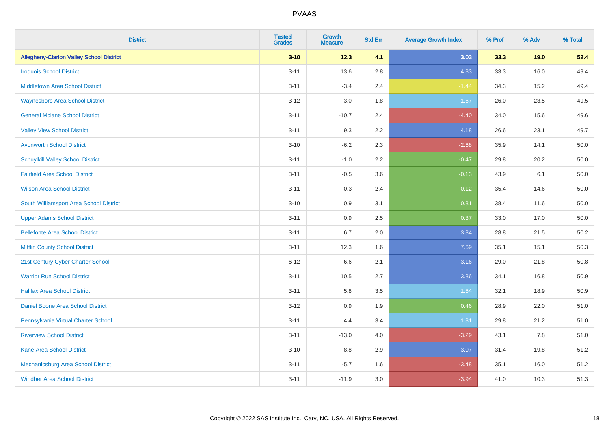| <b>District</b>                                 | <b>Tested</b><br><b>Grades</b> | Growth<br><b>Measure</b> | <b>Std Err</b> | <b>Average Growth Index</b> | % Prof | % Adv | % Total  |
|-------------------------------------------------|--------------------------------|--------------------------|----------------|-----------------------------|--------|-------|----------|
| <b>Allegheny-Clarion Valley School District</b> | $3 - 10$                       | 12.3                     | 4.1            | 3.03                        | 33.3   | 19.0  | 52.4     |
| <b>Iroquois School District</b>                 | $3 - 11$                       | 13.6                     | 2.8            | 4.83                        | 33.3   | 16.0  | 49.4     |
| Middletown Area School District                 | $3 - 11$                       | $-3.4$                   | 2.4            | $-1.44$                     | 34.3   | 15.2  | 49.4     |
| <b>Waynesboro Area School District</b>          | $3 - 12$                       | 3.0                      | 1.8            | 1.67                        | 26.0   | 23.5  | 49.5     |
| <b>General Mclane School District</b>           | $3 - 11$                       | $-10.7$                  | 2.4            | $-4.40$                     | 34.0   | 15.6  | 49.6     |
| <b>Valley View School District</b>              | $3 - 11$                       | 9.3                      | 2.2            | 4.18                        | 26.6   | 23.1  | 49.7     |
| <b>Avonworth School District</b>                | $3 - 10$                       | $-6.2$                   | 2.3            | $-2.68$                     | 35.9   | 14.1  | 50.0     |
| <b>Schuylkill Valley School District</b>        | $3 - 11$                       | $-1.0$                   | 2.2            | $-0.47$                     | 29.8   | 20.2  | 50.0     |
| <b>Fairfield Area School District</b>           | $3 - 11$                       | $-0.5$                   | 3.6            | $-0.13$                     | 43.9   | 6.1   | 50.0     |
| <b>Wilson Area School District</b>              | $3 - 11$                       | $-0.3$                   | 2.4            | $-0.12$                     | 35.4   | 14.6  | 50.0     |
| South Williamsport Area School District         | $3 - 10$                       | 0.9                      | 3.1            | 0.31                        | 38.4   | 11.6  | $50.0\,$ |
| <b>Upper Adams School District</b>              | $3 - 11$                       | 0.9                      | 2.5            | 0.37                        | 33.0   | 17.0  | 50.0     |
| <b>Bellefonte Area School District</b>          | $3 - 11$                       | 6.7                      | 2.0            | 3.34                        | 28.8   | 21.5  | 50.2     |
| <b>Mifflin County School District</b>           | $3 - 11$                       | 12.3                     | 1.6            | 7.69                        | 35.1   | 15.1  | 50.3     |
| 21st Century Cyber Charter School               | $6 - 12$                       | 6.6                      | 2.1            | 3.16                        | 29.0   | 21.8  | 50.8     |
| <b>Warrior Run School District</b>              | $3 - 11$                       | 10.5                     | 2.7            | 3.86                        | 34.1   | 16.8  | 50.9     |
| <b>Halifax Area School District</b>             | $3 - 11$                       | 5.8                      | 3.5            | 1.64                        | 32.1   | 18.9  | 50.9     |
| <b>Daniel Boone Area School District</b>        | $3 - 12$                       | 0.9                      | 1.9            | 0.46                        | 28.9   | 22.0  | 51.0     |
| Pennsylvania Virtual Charter School             | $3 - 11$                       | 4.4                      | 3.4            | 1.31                        | 29.8   | 21.2  | 51.0     |
| <b>Riverview School District</b>                | $3 - 11$                       | $-13.0$                  | 4.0            | $-3.29$                     | 43.1   | 7.8   | 51.0     |
| <b>Kane Area School District</b>                | $3 - 10$                       | 8.8                      | 2.9            | 3.07                        | 31.4   | 19.8  | 51.2     |
| Mechanicsburg Area School District              | $3 - 11$                       | $-5.7$                   | 1.6            | $-3.48$                     | 35.1   | 16.0  | 51.2     |
| <b>Windber Area School District</b>             | $3 - 11$                       | $-11.9$                  | 3.0            | $-3.94$                     | 41.0   | 10.3  | 51.3     |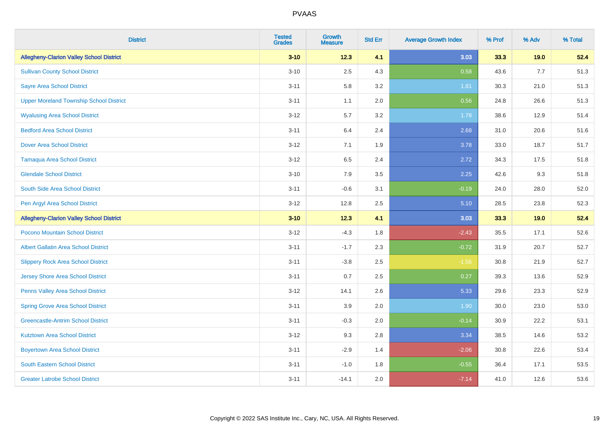| <b>District</b>                                 | <b>Tested</b><br><b>Grades</b> | <b>Growth</b><br><b>Measure</b> | <b>Std Err</b> | <b>Average Growth Index</b> | % Prof | % Adv | % Total |
|-------------------------------------------------|--------------------------------|---------------------------------|----------------|-----------------------------|--------|-------|---------|
| <b>Allegheny-Clarion Valley School District</b> | $3 - 10$                       | 12.3                            | 4.1            | 3.03                        | 33.3   | 19.0  | 52.4    |
| <b>Sullivan County School District</b>          | $3 - 10$                       | 2.5                             | 4.3            | 0.58                        | 43.6   | 7.7   | 51.3    |
| <b>Sayre Area School District</b>               | $3 - 11$                       | 5.8                             | 3.2            | 1.81                        | 30.3   | 21.0  | 51.3    |
| <b>Upper Moreland Township School District</b>  | $3 - 11$                       | 1.1                             | 2.0            | 0.56                        | 24.8   | 26.6  | 51.3    |
| <b>Wyalusing Area School District</b>           | $3-12$                         | 5.7                             | 3.2            | 1.78                        | 38.6   | 12.9  | 51.4    |
| <b>Bedford Area School District</b>             | $3 - 11$                       | 6.4                             | 2.4            | 2.68                        | 31.0   | 20.6  | 51.6    |
| <b>Dover Area School District</b>               | $3 - 12$                       | 7.1                             | 1.9            | 3.78                        | 33.0   | 18.7  | 51.7    |
| <b>Tamaqua Area School District</b>             | $3-12$                         | 6.5                             | 2.4            | 2.72                        | 34.3   | 17.5  | 51.8    |
| <b>Glendale School District</b>                 | $3 - 10$                       | 7.9                             | 3.5            | 2.25                        | 42.6   | 9.3   | 51.8    |
| South Side Area School District                 | $3 - 11$                       | $-0.6$                          | 3.1            | $-0.19$                     | 24.0   | 28.0  | 52.0    |
| Pen Argyl Area School District                  | $3-12$                         | 12.8                            | 2.5            | 5.10                        | 28.5   | 23.8  | 52.3    |
| <b>Allegheny-Clarion Valley School District</b> | $3 - 10$                       | $12.3$                          | 4.1            | 3.03                        | 33.3   | 19.0  | 52.4    |
| Pocono Mountain School District                 | $3 - 12$                       | $-4.3$                          | 1.8            | $-2.43$                     | 35.5   | 17.1  | 52.6    |
| <b>Albert Gallatin Area School District</b>     | $3 - 11$                       | $-1.7$                          | 2.3            | $-0.72$                     | 31.9   | 20.7  | 52.7    |
| <b>Slippery Rock Area School District</b>       | $3 - 11$                       | $-3.8$                          | 2.5            | $-1.56$                     | 30.8   | 21.9  | 52.7    |
| <b>Jersey Shore Area School District</b>        | $3 - 11$                       | 0.7                             | 2.5            | 0.27                        | 39.3   | 13.6  | 52.9    |
| Penns Valley Area School District               | $3 - 12$                       | 14.1                            | 2.6            | 5.33                        | 29.6   | 23.3  | 52.9    |
| <b>Spring Grove Area School District</b>        | $3 - 11$                       | 3.9                             | 2.0            | 1.90                        | 30.0   | 23.0  | 53.0    |
| <b>Greencastle-Antrim School District</b>       | $3 - 11$                       | $-0.3$                          | 2.0            | $-0.14$                     | 30.9   | 22.2  | 53.1    |
| <b>Kutztown Area School District</b>            | $3 - 12$                       | 9.3                             | 2.8            | 3.34                        | 38.5   | 14.6  | 53.2    |
| <b>Boyertown Area School District</b>           | $3 - 11$                       | $-2.9$                          | 1.4            | $-2.06$                     | 30.8   | 22.6  | 53.4    |
| <b>South Eastern School District</b>            | $3 - 11$                       | $-1.0$                          | 1.8            | $-0.55$                     | 36.4   | 17.1  | 53.5    |
| <b>Greater Latrobe School District</b>          | $3 - 11$                       | $-14.1$                         | 2.0            | $-7.14$                     | 41.0   | 12.6  | 53.6    |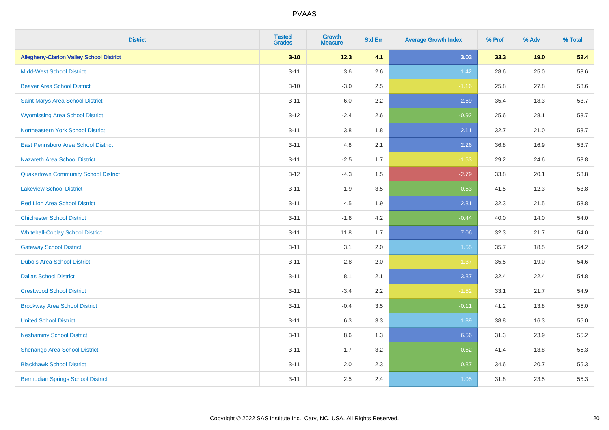| <b>District</b>                                 | <b>Tested</b><br><b>Grades</b> | <b>Growth</b><br><b>Measure</b> | <b>Std Err</b> | <b>Average Growth Index</b> | % Prof | % Adv | % Total |
|-------------------------------------------------|--------------------------------|---------------------------------|----------------|-----------------------------|--------|-------|---------|
| <b>Allegheny-Clarion Valley School District</b> | $3 - 10$                       | 12.3                            | 4.1            | 3.03                        | 33.3   | 19.0  | 52.4    |
| <b>Midd-West School District</b>                | $3 - 11$                       | 3.6                             | 2.6            | 1.42                        | 28.6   | 25.0  | 53.6    |
| <b>Beaver Area School District</b>              | $3 - 10$                       | $-3.0$                          | 2.5            | $-1.16$                     | 25.8   | 27.8  | 53.6    |
| Saint Marys Area School District                | $3 - 11$                       | $6.0\,$                         | 2.2            | 2.69                        | 35.4   | 18.3  | 53.7    |
| <b>Wyomissing Area School District</b>          | $3 - 12$                       | $-2.4$                          | 2.6            | $-0.92$                     | 25.6   | 28.1  | 53.7    |
| Northeastern York School District               | $3 - 11$                       | 3.8                             | 1.8            | 2.11                        | 32.7   | 21.0  | 53.7    |
| East Pennsboro Area School District             | $3 - 11$                       | 4.8                             | 2.1            | 2.26                        | 36.8   | 16.9  | 53.7    |
| <b>Nazareth Area School District</b>            | $3 - 11$                       | $-2.5$                          | 1.7            | $-1.53$                     | 29.2   | 24.6  | 53.8    |
| <b>Quakertown Community School District</b>     | $3 - 12$                       | $-4.3$                          | 1.5            | $-2.79$                     | 33.8   | 20.1  | 53.8    |
| <b>Lakeview School District</b>                 | $3 - 11$                       | $-1.9$                          | 3.5            | $-0.53$                     | 41.5   | 12.3  | 53.8    |
| <b>Red Lion Area School District</b>            | $3 - 11$                       | 4.5                             | 1.9            | 2.31                        | 32.3   | 21.5  | 53.8    |
| <b>Chichester School District</b>               | $3 - 11$                       | $-1.8$                          | 4.2            | $-0.44$                     | 40.0   | 14.0  | 54.0    |
| <b>Whitehall-Coplay School District</b>         | $3 - 11$                       | 11.8                            | 1.7            | 7.06                        | 32.3   | 21.7  | 54.0    |
| <b>Gateway School District</b>                  | $3 - 11$                       | 3.1                             | 2.0            | 1.55                        | 35.7   | 18.5  | 54.2    |
| <b>Dubois Area School District</b>              | $3 - 11$                       | $-2.8$                          | 2.0            | $-1.37$                     | 35.5   | 19.0  | 54.6    |
| <b>Dallas School District</b>                   | $3 - 11$                       | 8.1                             | 2.1            | 3.87                        | 32.4   | 22.4  | 54.8    |
| <b>Crestwood School District</b>                | $3 - 11$                       | $-3.4$                          | 2.2            | $-1.52$                     | 33.1   | 21.7  | 54.9    |
| <b>Brockway Area School District</b>            | $3 - 11$                       | $-0.4$                          | 3.5            | $-0.11$                     | 41.2   | 13.8  | 55.0    |
| <b>United School District</b>                   | $3 - 11$                       | 6.3                             | 3.3            | 1.89                        | 38.8   | 16.3  | 55.0    |
| <b>Neshaminy School District</b>                | $3 - 11$                       | 8.6                             | 1.3            | 6.56                        | 31.3   | 23.9  | 55.2    |
| Shenango Area School District                   | $3 - 11$                       | 1.7                             | 3.2            | 0.52                        | 41.4   | 13.8  | 55.3    |
| <b>Blackhawk School District</b>                | $3 - 11$                       | 2.0                             | 2.3            | 0.87                        | 34.6   | 20.7  | 55.3    |
| <b>Bermudian Springs School District</b>        | $3 - 11$                       | 2.5                             | 2.4            | 1.05                        | 31.8   | 23.5  | 55.3    |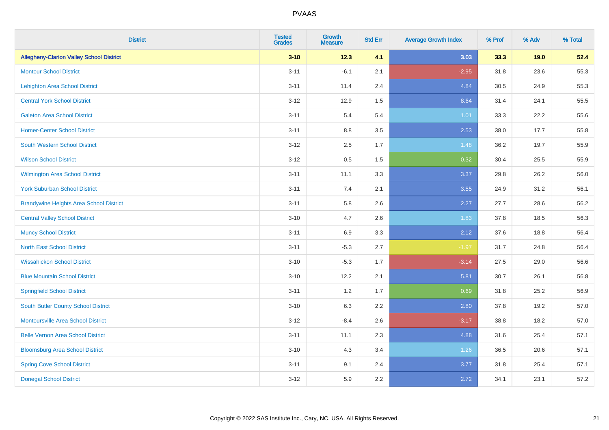| <b>District</b>                                 | <b>Tested</b><br><b>Grades</b> | <b>Growth</b><br><b>Measure</b> | <b>Std Err</b> | <b>Average Growth Index</b> | % Prof | % Adv | % Total |
|-------------------------------------------------|--------------------------------|---------------------------------|----------------|-----------------------------|--------|-------|---------|
| <b>Allegheny-Clarion Valley School District</b> | $3 - 10$                       | 12.3                            | 4.1            | 3.03                        | 33.3   | 19.0  | 52.4    |
| <b>Montour School District</b>                  | $3 - 11$                       | $-6.1$                          | 2.1            | $-2.95$                     | 31.8   | 23.6  | 55.3    |
| <b>Lehighton Area School District</b>           | $3 - 11$                       | 11.4                            | 2.4            | 4.84                        | 30.5   | 24.9  | 55.3    |
| <b>Central York School District</b>             | $3 - 12$                       | 12.9                            | 1.5            | 8.64                        | 31.4   | 24.1  | 55.5    |
| <b>Galeton Area School District</b>             | $3 - 11$                       | 5.4                             | 5.4            | 1.01                        | 33.3   | 22.2  | 55.6    |
| <b>Homer-Center School District</b>             | $3 - 11$                       | 8.8                             | 3.5            | 2.53                        | 38.0   | 17.7  | 55.8    |
| South Western School District                   | $3 - 12$                       | 2.5                             | 1.7            | 1.48                        | 36.2   | 19.7  | 55.9    |
| <b>Wilson School District</b>                   | $3 - 12$                       | 0.5                             | 1.5            | 0.32                        | 30.4   | 25.5  | 55.9    |
| Wilmington Area School District                 | $3 - 11$                       | 11.1                            | 3.3            | 3.37                        | 29.8   | 26.2  | 56.0    |
| <b>York Suburban School District</b>            | $3 - 11$                       | 7.4                             | 2.1            | 3.55                        | 24.9   | 31.2  | 56.1    |
| <b>Brandywine Heights Area School District</b>  | $3 - 11$                       | 5.8                             | 2.6            | 2.27                        | 27.7   | 28.6  | 56.2    |
| <b>Central Valley School District</b>           | $3 - 10$                       | 4.7                             | 2.6            | 1.83                        | 37.8   | 18.5  | 56.3    |
| <b>Muncy School District</b>                    | $3 - 11$                       | 6.9                             | 3.3            | 2.12                        | 37.6   | 18.8  | 56.4    |
| <b>North East School District</b>               | $3 - 11$                       | $-5.3$                          | 2.7            | $-1.97$                     | 31.7   | 24.8  | 56.4    |
| <b>Wissahickon School District</b>              | $3 - 10$                       | $-5.3$                          | 1.7            | $-3.14$                     | 27.5   | 29.0  | 56.6    |
| <b>Blue Mountain School District</b>            | $3 - 10$                       | 12.2                            | 2.1            | 5.81                        | 30.7   | 26.1  | 56.8    |
| <b>Springfield School District</b>              | $3 - 11$                       | $1.2\,$                         | 1.7            | 0.69                        | 31.8   | 25.2  | 56.9    |
| <b>South Butler County School District</b>      | $3 - 10$                       | 6.3                             | 2.2            | 2.80                        | 37.8   | 19.2  | 57.0    |
| <b>Montoursville Area School District</b>       | $3 - 12$                       | $-8.4$                          | 2.6            | $-3.17$                     | 38.8   | 18.2  | 57.0    |
| <b>Belle Vernon Area School District</b>        | $3 - 11$                       | 11.1                            | 2.3            | 4.88                        | 31.6   | 25.4  | 57.1    |
| <b>Bloomsburg Area School District</b>          | $3 - 10$                       | 4.3                             | 3.4            | 1.26                        | 36.5   | 20.6  | 57.1    |
| <b>Spring Cove School District</b>              | $3 - 11$                       | 9.1                             | 2.4            | 3.77                        | 31.8   | 25.4  | 57.1    |
| <b>Donegal School District</b>                  | $3 - 12$                       | 5.9                             | 2.2            | 2.72                        | 34.1   | 23.1  | 57.2    |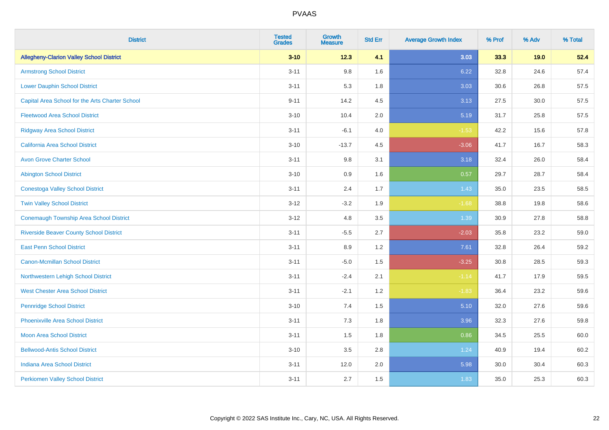| <b>District</b>                                 | <b>Tested</b><br><b>Grades</b> | <b>Growth</b><br><b>Measure</b> | <b>Std Err</b> | <b>Average Growth Index</b> | % Prof | % Adv | % Total |
|-------------------------------------------------|--------------------------------|---------------------------------|----------------|-----------------------------|--------|-------|---------|
| <b>Allegheny-Clarion Valley School District</b> | $3 - 10$                       | 12.3                            | 4.1            | 3.03                        | 33.3   | 19.0  | 52.4    |
| <b>Armstrong School District</b>                | $3 - 11$                       | $9.8\,$                         | 1.6            | 6.22                        | 32.8   | 24.6  | 57.4    |
| <b>Lower Dauphin School District</b>            | $3 - 11$                       | 5.3                             | 1.8            | 3.03                        | 30.6   | 26.8  | 57.5    |
| Capital Area School for the Arts Charter School | $9 - 11$                       | 14.2                            | 4.5            | 3.13                        | 27.5   | 30.0  | 57.5    |
| <b>Fleetwood Area School District</b>           | $3 - 10$                       | 10.4                            | 2.0            | 5.19                        | 31.7   | 25.8  | 57.5    |
| <b>Ridgway Area School District</b>             | $3 - 11$                       | $-6.1$                          | 4.0            | $-1.53$                     | 42.2   | 15.6  | 57.8    |
| <b>California Area School District</b>          | $3 - 10$                       | $-13.7$                         | 4.5            | $-3.06$                     | 41.7   | 16.7  | 58.3    |
| <b>Avon Grove Charter School</b>                | $3 - 11$                       | $9.8\,$                         | 3.1            | 3.18                        | 32.4   | 26.0  | 58.4    |
| <b>Abington School District</b>                 | $3 - 10$                       | 0.9                             | 1.6            | 0.57                        | 29.7   | 28.7  | 58.4    |
| <b>Conestoga Valley School District</b>         | $3 - 11$                       | 2.4                             | 1.7            | 1.43                        | 35.0   | 23.5  | 58.5    |
| <b>Twin Valley School District</b>              | $3 - 12$                       | $-3.2$                          | 1.9            | $-1.68$                     | 38.8   | 19.8  | 58.6    |
| <b>Conemaugh Township Area School District</b>  | $3-12$                         | 4.8                             | 3.5            | 1.39                        | 30.9   | 27.8  | 58.8    |
| <b>Riverside Beaver County School District</b>  | $3 - 11$                       | $-5.5$                          | 2.7            | $-2.03$                     | 35.8   | 23.2  | 59.0    |
| <b>East Penn School District</b>                | $3 - 11$                       | 8.9                             | 1.2            | 7.61                        | 32.8   | 26.4  | 59.2    |
| <b>Canon-Mcmillan School District</b>           | $3 - 11$                       | $-5.0$                          | 1.5            | $-3.25$                     | 30.8   | 28.5  | 59.3    |
| Northwestern Lehigh School District             | $3 - 11$                       | $-2.4$                          | 2.1            | $-1.14$                     | 41.7   | 17.9  | 59.5    |
| <b>West Chester Area School District</b>        | $3 - 11$                       | $-2.1$                          | 1.2            | $-1.83$                     | 36.4   | 23.2  | 59.6    |
| <b>Pennridge School District</b>                | $3 - 10$                       | 7.4                             | 1.5            | 5.10                        | 32.0   | 27.6  | 59.6    |
| <b>Phoenixville Area School District</b>        | $3 - 11$                       | $7.3$                           | 1.8            | 3.96                        | 32.3   | 27.6  | 59.8    |
| <b>Moon Area School District</b>                | $3 - 11$                       | 1.5                             | 1.8            | 0.86                        | 34.5   | 25.5  | 60.0    |
| <b>Bellwood-Antis School District</b>           | $3 - 10$                       | 3.5                             | 2.8            | 1.24                        | 40.9   | 19.4  | 60.2    |
| <b>Indiana Area School District</b>             | $3 - 11$                       | 12.0                            | 2.0            | 5.98                        | 30.0   | 30.4  | 60.3    |
| <b>Perkiomen Valley School District</b>         | $3 - 11$                       | 2.7                             | 1.5            | 1.83                        | 35.0   | 25.3  | 60.3    |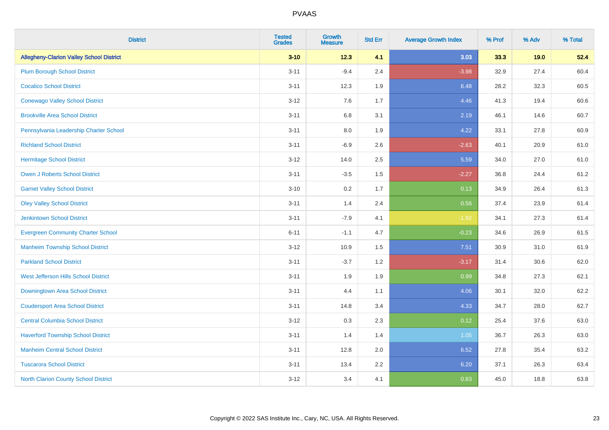| <b>District</b>                                 | <b>Tested</b><br><b>Grades</b> | Growth<br><b>Measure</b> | <b>Std Err</b> | <b>Average Growth Index</b> | % Prof | % Adv | % Total |
|-------------------------------------------------|--------------------------------|--------------------------|----------------|-----------------------------|--------|-------|---------|
| <b>Allegheny-Clarion Valley School District</b> | $3 - 10$                       | 12.3                     | 4.1            | 3.03                        | 33.3   | 19.0  | 52.4    |
| <b>Plum Borough School District</b>             | $3 - 11$                       | $-9.4$                   | 2.4            | $-3.98$                     | 32.9   | 27.4  | 60.4    |
| <b>Cocalico School District</b>                 | $3 - 11$                       | 12.3                     | 1.9            | 6.48                        | 28.2   | 32.3  | 60.5    |
| <b>Conewago Valley School District</b>          | $3 - 12$                       | 7.6                      | 1.7            | 4.46                        | 41.3   | 19.4  | 60.6    |
| <b>Brookville Area School District</b>          | $3 - 11$                       | 6.8                      | 3.1            | 2.19                        | 46.1   | 14.6  | 60.7    |
| Pennsylvania Leadership Charter School          | $3 - 11$                       | $8.0\,$                  | 1.9            | 4.22                        | 33.1   | 27.8  | 60.9    |
| <b>Richland School District</b>                 | $3 - 11$                       | $-6.9$                   | 2.6            | $-2.63$                     | 40.1   | 20.9  | 61.0    |
| <b>Hermitage School District</b>                | $3 - 12$                       | 14.0                     | 2.5            | 5.59                        | 34.0   | 27.0  | 61.0    |
| <b>Owen J Roberts School District</b>           | $3 - 11$                       | $-3.5$                   | 1.5            | $-2.27$                     | 36.8   | 24.4  | 61.2    |
| <b>Garnet Valley School District</b>            | $3 - 10$                       | 0.2                      | 1.7            | 0.13                        | 34.9   | 26.4  | 61.3    |
| <b>Oley Valley School District</b>              | $3 - 11$                       | 1.4                      | 2.4            | 0.56                        | 37.4   | 23.9  | 61.4    |
| <b>Jenkintown School District</b>               | $3 - 11$                       | $-7.9$                   | 4.1            | $-1.92$                     | 34.1   | 27.3  | 61.4    |
| <b>Evergreen Community Charter School</b>       | $6 - 11$                       | $-1.1$                   | 4.7            | $-0.23$                     | 34.6   | 26.9  | 61.5    |
| <b>Manheim Township School District</b>         | $3 - 12$                       | 10.9                     | 1.5            | 7.51                        | 30.9   | 31.0  | 61.9    |
| <b>Parkland School District</b>                 | $3 - 11$                       | $-3.7$                   | 1.2            | $-3.17$                     | 31.4   | 30.6  | 62.0    |
| West Jefferson Hills School District            | $3 - 11$                       | 1.9                      | 1.9            | 0.99                        | 34.8   | 27.3  | 62.1    |
| Downingtown Area School District                | $3 - 11$                       | 4.4                      | 1.1            | 4.06                        | 30.1   | 32.0  | 62.2    |
| <b>Coudersport Area School District</b>         | $3 - 11$                       | 14.8                     | 3.4            | 4.33                        | 34.7   | 28.0  | 62.7    |
| <b>Central Columbia School District</b>         | $3-12$                         | 0.3                      | 2.3            | 0.12                        | 25.4   | 37.6  | 63.0    |
| <b>Haverford Township School District</b>       | $3 - 11$                       | 1.4                      | 1.4            | 1.05                        | 36.7   | 26.3  | 63.0    |
| <b>Manheim Central School District</b>          | $3 - 11$                       | 12.8                     | 2.0            | 6.52                        | 27.8   | 35.4  | 63.2    |
| <b>Tuscarora School District</b>                | $3 - 11$                       | 13.4                     | 2.2            | 6.20                        | 37.1   | 26.3  | 63.4    |
| <b>North Clarion County School District</b>     | $3 - 12$                       | 3.4                      | 4.1            | 0.83                        | 45.0   | 18.8  | 63.8    |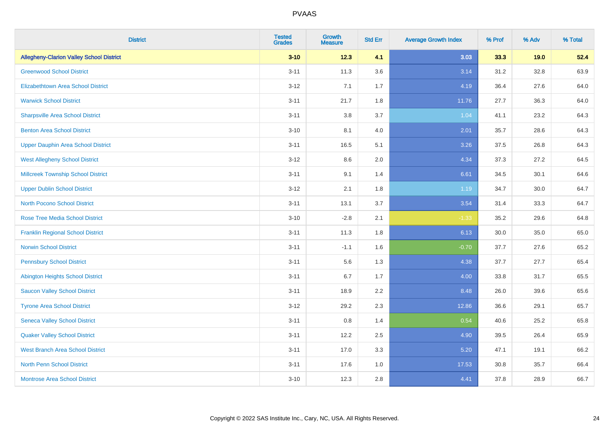| <b>District</b>                                 | <b>Tested</b><br><b>Grades</b> | <b>Growth</b><br><b>Measure</b> | <b>Std Err</b> | <b>Average Growth Index</b> | % Prof | % Adv | % Total |
|-------------------------------------------------|--------------------------------|---------------------------------|----------------|-----------------------------|--------|-------|---------|
| <b>Allegheny-Clarion Valley School District</b> | $3 - 10$                       | 12.3                            | 4.1            | 3.03                        | 33.3   | 19.0  | 52.4    |
| <b>Greenwood School District</b>                | $3 - 11$                       | 11.3                            | 3.6            | 3.14                        | 31.2   | 32.8  | 63.9    |
| <b>Elizabethtown Area School District</b>       | $3 - 12$                       | 7.1                             | 1.7            | 4.19                        | 36.4   | 27.6  | 64.0    |
| <b>Warwick School District</b>                  | $3 - 11$                       | 21.7                            | 1.8            | 11.76                       | 27.7   | 36.3  | 64.0    |
| <b>Sharpsville Area School District</b>         | $3 - 11$                       | 3.8                             | 3.7            | 1.04                        | 41.1   | 23.2  | 64.3    |
| <b>Benton Area School District</b>              | $3 - 10$                       | 8.1                             | 4.0            | 2.01                        | 35.7   | 28.6  | 64.3    |
| <b>Upper Dauphin Area School District</b>       | $3 - 11$                       | 16.5                            | 5.1            | 3.26                        | 37.5   | 26.8  | 64.3    |
| <b>West Allegheny School District</b>           | $3 - 12$                       | 8.6                             | 2.0            | 4.34                        | 37.3   | 27.2  | 64.5    |
| <b>Millcreek Township School District</b>       | $3 - 11$                       | 9.1                             | 1.4            | 6.61                        | 34.5   | 30.1  | 64.6    |
| <b>Upper Dublin School District</b>             | $3 - 12$                       | 2.1                             | 1.8            | 1.19                        | 34.7   | 30.0  | 64.7    |
| <b>North Pocono School District</b>             | $3 - 11$                       | 13.1                            | 3.7            | 3.54                        | 31.4   | 33.3  | 64.7    |
| <b>Rose Tree Media School District</b>          | $3 - 10$                       | $-2.8$                          | 2.1            | $-1.33$                     | 35.2   | 29.6  | 64.8    |
| <b>Franklin Regional School District</b>        | $3 - 11$                       | 11.3                            | 1.8            | 6.13                        | 30.0   | 35.0  | 65.0    |
| <b>Norwin School District</b>                   | $3 - 11$                       | $-1.1$                          | 1.6            | $-0.70$                     | 37.7   | 27.6  | 65.2    |
| <b>Pennsbury School District</b>                | $3 - 11$                       | 5.6                             | 1.3            | 4.38                        | 37.7   | 27.7  | 65.4    |
| <b>Abington Heights School District</b>         | $3 - 11$                       | 6.7                             | 1.7            | 4.00                        | 33.8   | 31.7  | 65.5    |
| <b>Saucon Valley School District</b>            | $3 - 11$                       | 18.9                            | 2.2            | 8.48                        | 26.0   | 39.6  | 65.6    |
| <b>Tyrone Area School District</b>              | $3 - 12$                       | 29.2                            | 2.3            | 12.86                       | 36.6   | 29.1  | 65.7    |
| <b>Seneca Valley School District</b>            | $3 - 11$                       | $0.8\,$                         | 1.4            | 0.54                        | 40.6   | 25.2  | 65.8    |
| <b>Quaker Valley School District</b>            | $3 - 11$                       | 12.2                            | 2.5            | 4.90                        | 39.5   | 26.4  | 65.9    |
| <b>West Branch Area School District</b>         | $3 - 11$                       | 17.0                            | 3.3            | 5.20                        | 47.1   | 19.1  | 66.2    |
| North Penn School District                      | $3 - 11$                       | 17.6                            | 1.0            | 17.53                       | 30.8   | 35.7  | 66.4    |
| <b>Montrose Area School District</b>            | $3 - 10$                       | 12.3                            | 2.8            | 4.41                        | 37.8   | 28.9  | 66.7    |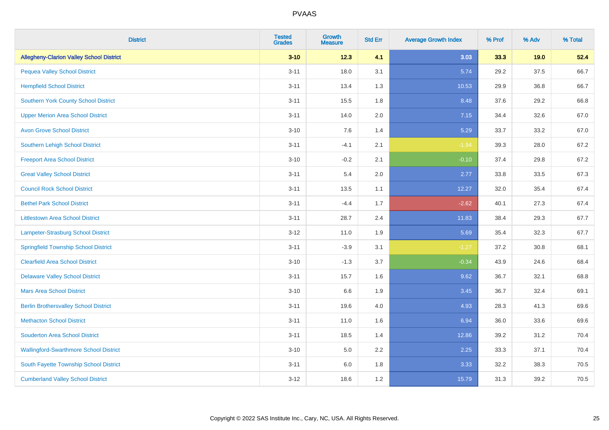| <b>District</b>                                 | <b>Tested</b><br><b>Grades</b> | <b>Growth</b><br><b>Measure</b> | <b>Std Err</b> | <b>Average Growth Index</b> | % Prof | % Adv | % Total |
|-------------------------------------------------|--------------------------------|---------------------------------|----------------|-----------------------------|--------|-------|---------|
| <b>Allegheny-Clarion Valley School District</b> | $3 - 10$                       | 12.3                            | 4.1            | 3.03                        | 33.3   | 19.0  | 52.4    |
| <b>Pequea Valley School District</b>            | $3 - 11$                       | 18.0                            | 3.1            | 5.74                        | 29.2   | 37.5  | 66.7    |
| <b>Hempfield School District</b>                | $3 - 11$                       | 13.4                            | 1.3            | 10.53                       | 29.9   | 36.8  | 66.7    |
| <b>Southern York County School District</b>     | $3 - 11$                       | 15.5                            | 1.8            | 8.48                        | 37.6   | 29.2  | 66.8    |
| <b>Upper Merion Area School District</b>        | $3 - 11$                       | 14.0                            | 2.0            | 7.15                        | 34.4   | 32.6  | 67.0    |
| <b>Avon Grove School District</b>               | $3 - 10$                       | 7.6                             | 1.4            | 5.29                        | 33.7   | 33.2  | 67.0    |
| Southern Lehigh School District                 | $3 - 11$                       | $-4.1$                          | 2.1            | $-1.94$                     | 39.3   | 28.0  | 67.2    |
| <b>Freeport Area School District</b>            | $3 - 10$                       | $-0.2$                          | 2.1            | $-0.10$                     | 37.4   | 29.8  | 67.2    |
| <b>Great Valley School District</b>             | $3 - 11$                       | 5.4                             | 2.0            | 2.77                        | 33.8   | 33.5  | 67.3    |
| <b>Council Rock School District</b>             | $3 - 11$                       | 13.5                            | 1.1            | 12.27                       | 32.0   | 35.4  | 67.4    |
| <b>Bethel Park School District</b>              | $3 - 11$                       | $-4.4$                          | 1.7            | $-2.62$                     | 40.1   | 27.3  | 67.4    |
| <b>Littlestown Area School District</b>         | $3 - 11$                       | 28.7                            | 2.4            | 11.83                       | 38.4   | 29.3  | 67.7    |
| Lampeter-Strasburg School District              | $3 - 12$                       | 11.0                            | 1.9            | 5.69                        | 35.4   | 32.3  | 67.7    |
| <b>Springfield Township School District</b>     | $3 - 11$                       | $-3.9$                          | 3.1            | $-1.27$                     | 37.2   | 30.8  | 68.1    |
| <b>Clearfield Area School District</b>          | $3 - 10$                       | $-1.3$                          | 3.7            | $-0.34$                     | 43.9   | 24.6  | 68.4    |
| <b>Delaware Valley School District</b>          | $3 - 11$                       | 15.7                            | 1.6            | 9.62                        | 36.7   | 32.1  | 68.8    |
| <b>Mars Area School District</b>                | $3 - 10$                       | 6.6                             | 1.9            | 3.45                        | 36.7   | 32.4  | 69.1    |
| <b>Berlin Brothersvalley School District</b>    | $3 - 11$                       | 19.6                            | 4.0            | 4.93                        | 28.3   | 41.3  | 69.6    |
| <b>Methacton School District</b>                | $3 - 11$                       | 11.0                            | 1.6            | 6.94                        | 36.0   | 33.6  | 69.6    |
| <b>Souderton Area School District</b>           | $3 - 11$                       | 18.5                            | 1.4            | 12.86                       | 39.2   | 31.2  | 70.4    |
| <b>Wallingford-Swarthmore School District</b>   | $3 - 10$                       | 5.0                             | 2.2            | 2.25                        | 33.3   | 37.1  | 70.4    |
| South Fayette Township School District          | $3 - 11$                       | 6.0                             | 1.8            | 3.33                        | 32.2   | 38.3  | 70.5    |
| <b>Cumberland Valley School District</b>        | $3 - 12$                       | 18.6                            | 1.2            | 15.79                       | 31.3   | 39.2  | 70.5    |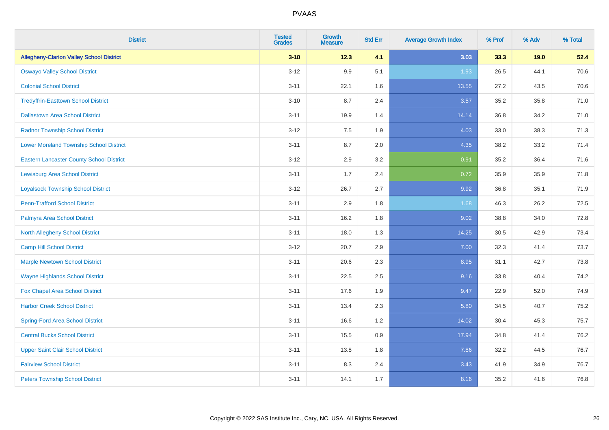| <b>District</b>                                 | <b>Tested</b><br><b>Grades</b> | <b>Growth</b><br><b>Measure</b> | <b>Std Err</b> | <b>Average Growth Index</b> | % Prof | % Adv | % Total |
|-------------------------------------------------|--------------------------------|---------------------------------|----------------|-----------------------------|--------|-------|---------|
| <b>Allegheny-Clarion Valley School District</b> | $3 - 10$                       | 12.3                            | 4.1            | 3.03                        | 33.3   | 19.0  | 52.4    |
| <b>Oswayo Valley School District</b>            | $3 - 12$                       | 9.9                             | 5.1            | 1.93                        | 26.5   | 44.1  | 70.6    |
| <b>Colonial School District</b>                 | $3 - 11$                       | 22.1                            | 1.6            | 13.55                       | 27.2   | 43.5  | 70.6    |
| <b>Tredyffrin-Easttown School District</b>      | $3 - 10$                       | 8.7                             | 2.4            | 3.57                        | 35.2   | 35.8  | 71.0    |
| <b>Dallastown Area School District</b>          | $3 - 11$                       | 19.9                            | 1.4            | 14.14                       | 36.8   | 34.2  | 71.0    |
| <b>Radnor Township School District</b>          | $3 - 12$                       | 7.5                             | 1.9            | 4.03                        | 33.0   | 38.3  | 71.3    |
| <b>Lower Moreland Township School District</b>  | $3 - 11$                       | 8.7                             | 2.0            | 4.35                        | 38.2   | 33.2  | 71.4    |
| <b>Eastern Lancaster County School District</b> | $3 - 12$                       | 2.9                             | 3.2            | 0.91                        | 35.2   | 36.4  | 71.6    |
| <b>Lewisburg Area School District</b>           | $3 - 11$                       | 1.7                             | 2.4            | 0.72                        | 35.9   | 35.9  | 71.8    |
| <b>Loyalsock Township School District</b>       | $3-12$                         | 26.7                            | 2.7            | 9.92                        | 36.8   | 35.1  | 71.9    |
| <b>Penn-Trafford School District</b>            | $3 - 11$                       | 2.9                             | 1.8            | 1.68                        | 46.3   | 26.2  | 72.5    |
| Palmyra Area School District                    | $3 - 11$                       | 16.2                            | 1.8            | 9.02                        | 38.8   | 34.0  | 72.8    |
| North Allegheny School District                 | $3 - 11$                       | 18.0                            | 1.3            | 14.25                       | 30.5   | 42.9  | 73.4    |
| <b>Camp Hill School District</b>                | $3 - 12$                       | 20.7                            | 2.9            | 7.00                        | 32.3   | 41.4  | 73.7    |
| <b>Marple Newtown School District</b>           | $3 - 11$                       | 20.6                            | 2.3            | 8.95                        | 31.1   | 42.7  | 73.8    |
| <b>Wayne Highlands School District</b>          | $3 - 11$                       | 22.5                            | 2.5            | 9.16                        | 33.8   | 40.4  | 74.2    |
| Fox Chapel Area School District                 | $3 - 11$                       | 17.6                            | 1.9            | 9.47                        | 22.9   | 52.0  | 74.9    |
| <b>Harbor Creek School District</b>             | $3 - 11$                       | 13.4                            | 2.3            | 5.80                        | 34.5   | 40.7  | 75.2    |
| <b>Spring-Ford Area School District</b>         | $3 - 11$                       | 16.6                            | 1.2            | 14.02                       | 30.4   | 45.3  | 75.7    |
| <b>Central Bucks School District</b>            | $3 - 11$                       | 15.5                            | 0.9            | 17.94                       | 34.8   | 41.4  | 76.2    |
| <b>Upper Saint Clair School District</b>        | $3 - 11$                       | 13.8                            | 1.8            | 7.86                        | 32.2   | 44.5  | 76.7    |
| <b>Fairview School District</b>                 | $3 - 11$                       | 8.3                             | 2.4            | 3.43                        | 41.9   | 34.9  | 76.7    |
| <b>Peters Township School District</b>          | $3 - 11$                       | 14.1                            | 1.7            | 8.16                        | 35.2   | 41.6  | 76.8    |